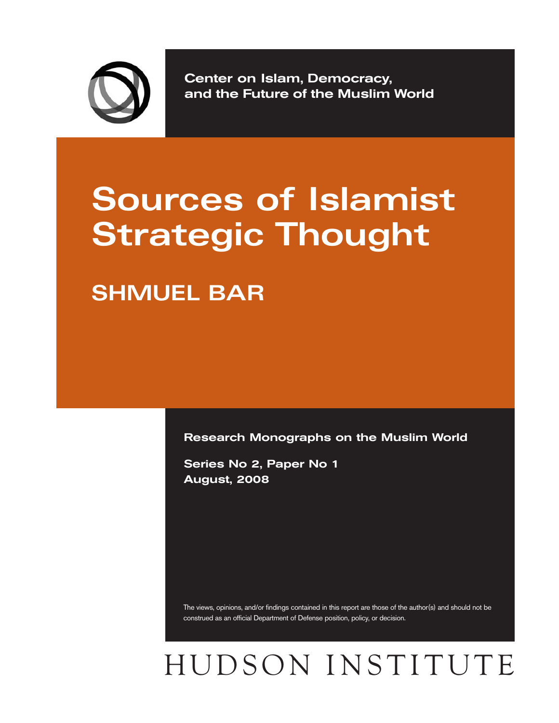

**Center on Islam, Democracy, and the Future of the Muslim World**

# **Sources of Islamist Strategic Thought**

**SHMUEL BAR**

**Research Monographs on the Muslim World** 

**Series No 2, Paper No 1 August, 2008**

The views, opinions, and/or findings contained in this report are those of the author(s) and should not be construed as an official Department of Defense position, policy, or decision.

# HUDSON INSTITUTE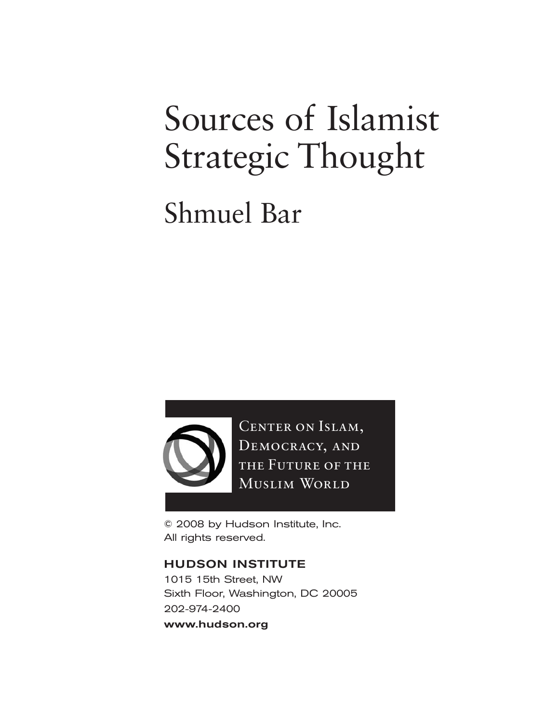# Sources of Islamist Strategic Thought

# Shmuel Bar



CENTER ON ISLAM, DEMOCRACY, AND THE FUTURE OF THE MUSLIM WORLD

© 2008 by Hudson Institute, Inc. All rights reserved.

### **HUDSON INSTITUTE**

1015 15th Street, NW Sixth Floor, Washington, DC 20005 202-974-2400 **www.hudson.org**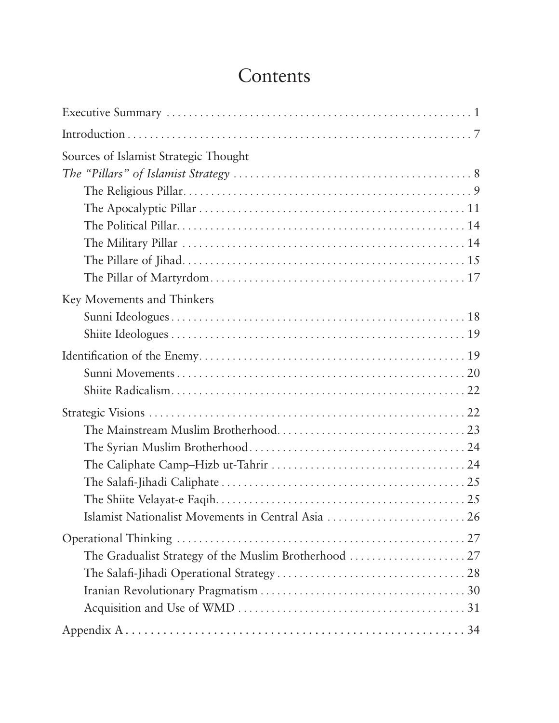## **Contents**

| Sources of Islamist Strategic Thought              |
|----------------------------------------------------|
|                                                    |
|                                                    |
|                                                    |
|                                                    |
|                                                    |
|                                                    |
|                                                    |
| Key Movements and Thinkers                         |
|                                                    |
|                                                    |
|                                                    |
|                                                    |
|                                                    |
|                                                    |
|                                                    |
|                                                    |
|                                                    |
|                                                    |
|                                                    |
| Islamist Nationalist Movements in Central Asia  26 |
|                                                    |
|                                                    |
|                                                    |
|                                                    |
|                                                    |
|                                                    |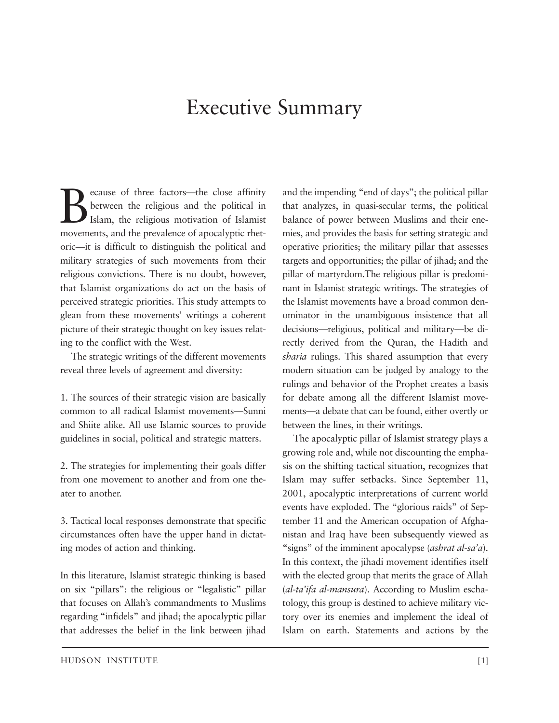## Executive Summary

Because of three factors—the close affinity<br>between the religious and the political in<br>Islam, the religious motivation of Islamist<br>movements and the prevalence of apocalyptic rhetbetween the religious and the political in Islam, the religious motivation of Islamist movements, and the prevalence of apocalyptic rhetoric—it is difficult to distinguish the political and military strategies of such movements from their religious convictions. There is no doubt, however, that Islamist organizations do act on the basis of perceived strategic priorities. This study attempts to glean from these movements' writings a coherent picture of their strategic thought on key issues relating to the conflict with the West.

The strategic writings of the different movements reveal three levels of agreement and diversity:

1. The sources of their strategic vision are basically common to all radical Islamist movements—Sunni and Shiite alike. All use Islamic sources to provide guidelines in social, political and strategic matters.

2. The strategies for implementing their goals differ from one movement to another and from one theater to another.

3. Tactical local responses demonstrate that specific circumstances often have the upper hand in dictating modes of action and thinking.

In this literature, Islamist strategic thinking is based on six "pillars": the religious or "legalistic" pillar that focuses on Allah's commandments to Muslims regarding "infidels" and jihad; the apocalyptic pillar that addresses the belief in the link between jihad and the impending "end of days"; the political pillar that analyzes, in quasi-secular terms, the political balance of power between Muslims and their enemies, and provides the basis for setting strategic and operative priorities; the military pillar that assesses targets and opportunities; the pillar of jihad; and the pillar of martyrdom.The religious pillar is predominant in Islamist strategic writings. The strategies of the Islamist movements have a broad common denominator in the unambiguous insistence that all decisions—religious, political and military—be directly derived from the Quran, the Hadith and *sharia* rulings. This shared assumption that every modern situation can be judged by analogy to the rulings and behavior of the Prophet creates a basis for debate among all the different Islamist movements—a debate that can be found, either overtly or between the lines, in their writings.

The apocalyptic pillar of Islamist strategy plays a growing role and, while not discounting the emphasis on the shifting tactical situation, recognizes that Islam may suffer setbacks. Since September 11, 2001, apocalyptic interpretations of current world events have exploded. The "glorious raids" of September 11 and the American occupation of Afghanistan and Iraq have been subsequently viewed as "signs" of the imminent apocalypse (*ashrat al-sa'a*). In this context, the jihadi movement identifies itself with the elected group that merits the grace of Allah (*al-ta'ifa al-mansura*). According to Muslim eschatology, this group is destined to achieve military victory over its enemies and implement the ideal of Islam on earth. Statements and actions by the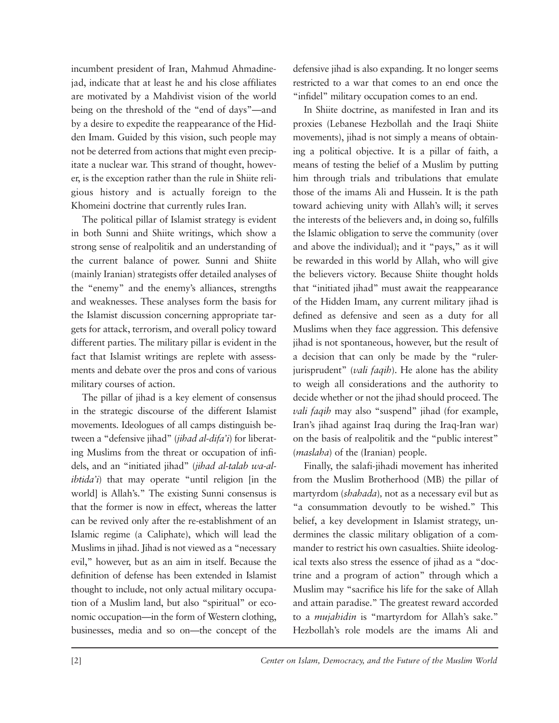incumbent president of Iran, Mahmud Ahmadinejad, indicate that at least he and his close affiliates are motivated by a Mahdivist vision of the world being on the threshold of the "end of days"—and by a desire to expedite the reappearance of the Hidden Imam. Guided by this vision, such people may not be deterred from actions that might even precipitate a nuclear war. This strand of thought, however, is the exception rather than the rule in Shiite religious history and is actually foreign to the Khomeini doctrine that currently rules Iran.

The political pillar of Islamist strategy is evident in both Sunni and Shiite writings, which show a strong sense of realpolitik and an understanding of the current balance of power. Sunni and Shiite (mainly Iranian) strategists offer detailed analyses of the "enemy" and the enemy's alliances, strengths and weaknesses. These analyses form the basis for the Islamist discussion concerning appropriate targets for attack, terrorism, and overall policy toward different parties. The military pillar is evident in the fact that Islamist writings are replete with assessments and debate over the pros and cons of various military courses of action.

The pillar of jihad is a key element of consensus in the strategic discourse of the different Islamist movements. Ideologues of all camps distinguish between a "defensive jihad" (*jihad al-difa'i*) for liberating Muslims from the threat or occupation of infidels, and an "initiated jihad" (*jihad al-talab wa-alibtida'i*) that may operate "until religion [in the world] is Allah's." The existing Sunni consensus is that the former is now in effect, whereas the latter can be revived only after the re-establishment of an Islamic regime (a Caliphate), which will lead the Muslims in jihad. Jihad is not viewed as a "necessary evil," however, but as an aim in itself. Because the definition of defense has been extended in Islamist thought to include, not only actual military occupation of a Muslim land, but also "spiritual" or economic occupation—in the form of Western clothing, businesses, media and so on—the concept of the defensive jihad is also expanding. It no longer seems restricted to a war that comes to an end once the "infidel" military occupation comes to an end.

In Shiite doctrine, as manifested in Iran and its proxies (Lebanese Hezbollah and the Iraqi Shiite movements), jihad is not simply a means of obtaining a political objective. It is a pillar of faith, a means of testing the belief of a Muslim by putting him through trials and tribulations that emulate those of the imams Ali and Hussein. It is the path toward achieving unity with Allah's will; it serves the interests of the believers and, in doing so, fulfills the Islamic obligation to serve the community (over and above the individual); and it "pays," as it will be rewarded in this world by Allah, who will give the believers victory. Because Shiite thought holds that "initiated jihad" must await the reappearance of the Hidden Imam, any current military jihad is defined as defensive and seen as a duty for all Muslims when they face aggression. This defensive jihad is not spontaneous, however, but the result of a decision that can only be made by the "rulerjurisprudent" (*vali faqih*). He alone has the ability to weigh all considerations and the authority to decide whether or not the jihad should proceed. The *vali faqih* may also "suspend" jihad (for example, Iran's jihad against Iraq during the Iraq-Iran war) on the basis of realpolitik and the "public interest" (*maslaha*) of the (Iranian) people.

Finally, the salafi-jihadi movement has inherited from the Muslim Brotherhood (MB) the pillar of martyrdom (*shahada*)*,* not as a necessary evil but as "a consummation devoutly to be wished." This belief, a key development in Islamist strategy, undermines the classic military obligation of a commander to restrict his own casualties. Shiite ideological texts also stress the essence of jihad as a "doctrine and a program of action" through which a Muslim may "sacrifice his life for the sake of Allah and attain paradise." The greatest reward accorded to a *mujahidin* is "martyrdom for Allah's sake." Hezbollah's role models are the imams Ali and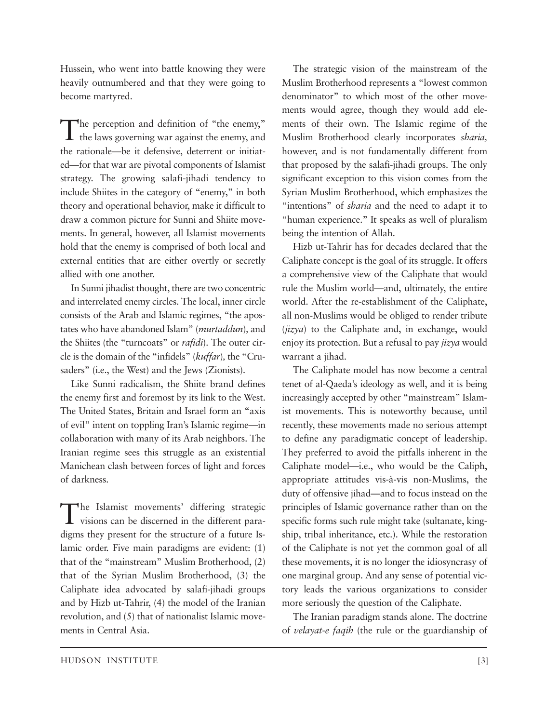Hussein, who went into battle knowing they were heavily outnumbered and that they were going to become martyred.

The perception and definition of "the enemy," the laws governing war against the enemy, and the rationale—be it defensive, deterrent or initiated—for that war are pivotal components of Islamist strategy. The growing salafi-jihadi tendency to include Shiites in the category of "enemy," in both theory and operational behavior, make it difficult to draw a common picture for Sunni and Shiite movements. In general, however, all Islamist movements hold that the enemy is comprised of both local and external entities that are either overtly or secretly allied with one another.

In Sunni jihadist thought, there are two concentric and interrelated enemy circles. The local, inner circle consists of the Arab and Islamic regimes, "the apostates who have abandoned Islam" (*murtaddun*)*,* and the Shiites (the "turncoats" or *rafidi*). The outer circle is the domain of the "infidels" (*kuffar*), the "Crusaders" (i.e., the West) and the Jews (Zionists).

Like Sunni radicalism, the Shiite brand defines the enemy first and foremost by its link to the West. The United States, Britain and Israel form an "axis of evil" intent on toppling Iran's Islamic regime—in collaboration with many of its Arab neighbors. The Iranian regime sees this struggle as an existential Manichean clash between forces of light and forces of darkness.

The Islamist movements' differing strategic visions can be discerned in the different paradigms they present for the structure of a future Islamic order. Five main paradigms are evident: (1) that of the "mainstream" Muslim Brotherhood, (2) that of the Syrian Muslim Brotherhood, (3) the Caliphate idea advocated by salafi-jihadi groups and by Hizb ut-Tahrir, (4) the model of the Iranian revolution, and (5) that of nationalist Islamic movements in Central Asia.

The strategic vision of the mainstream of the Muslim Brotherhood represents a "lowest common denominator" to which most of the other movements would agree, though they would add elements of their own. The Islamic regime of the Muslim Brotherhood clearly incorporates *sharia,* however, and is not fundamentally different from that proposed by the salafi-jihadi groups. The only significant exception to this vision comes from the Syrian Muslim Brotherhood, which emphasizes the "intentions" of *sharia* and the need to adapt it to "human experience." It speaks as well of pluralism being the intention of Allah.

Hizb ut-Tahrir has for decades declared that the Caliphate concept is the goal of its struggle. It offers a comprehensive view of the Caliphate that would rule the Muslim world—and, ultimately, the entire world. After the re-establishment of the Caliphate, all non-Muslims would be obliged to render tribute (*jizya*) to the Caliphate and, in exchange, would enjoy its protection. But a refusal to pay *jizya* would warrant a jihad.

The Caliphate model has now become a central tenet of al-Qaeda's ideology as well, and it is being increasingly accepted by other "mainstream" Islamist movements. This is noteworthy because, until recently, these movements made no serious attempt to define any paradigmatic concept of leadership. They preferred to avoid the pitfalls inherent in the Caliphate model—i.e., who would be the Caliph, appropriate attitudes vis-à-vis non-Muslims, the duty of offensive jihad—and to focus instead on the principles of Islamic governance rather than on the specific forms such rule might take (sultanate, kingship, tribal inheritance, etc.). While the restoration of the Caliphate is not yet the common goal of all these movements, it is no longer the idiosyncrasy of one marginal group. And any sense of potential victory leads the various organizations to consider more seriously the question of the Caliphate.

The Iranian paradigm stands alone. The doctrine of *velayat-e faqih* (the rule or the guardianship of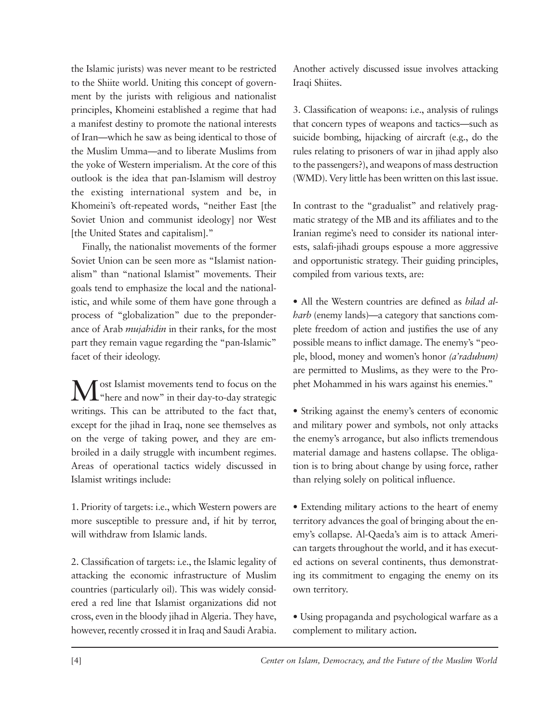the Islamic jurists) was never meant to be restricted to the Shiite world. Uniting this concept of government by the jurists with religious and nationalist principles, Khomeini established a regime that had a manifest destiny to promote the national interests of Iran—which he saw as being identical to those of the Muslim Umma*—*and to liberate Muslims from the yoke of Western imperialism. At the core of this outlook is the idea that pan-Islamism will destroy the existing international system and be, in Khomeini's oft-repeated words, "neither East [the Soviet Union and communist ideology] nor West [the United States and capitalism]."

Finally, the nationalist movements of the former Soviet Union can be seen more as "Islamist nationalism" than "national Islamist" movements. Their goals tend to emphasize the local and the nationalistic, and while some of them have gone through a process of "globalization" due to the preponderance of Arab *mujahidin* in their ranks, for the most part they remain vague regarding the "pan-Islamic" facet of their ideology.

Most Islamist movements tend to focus on the "here and now" in their day-to-day strategic writings. This can be attributed to the fact that, except for the jihad in Iraq, none see themselves as on the verge of taking power, and they are embroiled in a daily struggle with incumbent regimes. Areas of operational tactics widely discussed in Islamist writings include:

1. Priority of targets: i.e., which Western powers are more susceptible to pressure and, if hit by terror, will withdraw from Islamic lands.

2. Classification of targets: i.e., the Islamic legality of attacking the economic infrastructure of Muslim countries (particularly oil). This was widely considered a red line that Islamist organizations did not cross, even in the bloody jihad in Algeria. They have, however, recently crossed it in Iraq and Saudi Arabia. Another actively discussed issue involves attacking Iraqi Shiites.

3. Classification of weapons: i.e., analysis of rulings that concern types of weapons and tactics—such as suicide bombing, hijacking of aircraft (e.g., do the rules relating to prisoners of war in jihad apply also to the passengers?), and weapons of mass destruction (WMD). Very little has been written on this last issue.

In contrast to the "gradualist" and relatively pragmatic strategy of the MB and its affiliates and to the Iranian regime's need to consider its national interests, salafi-jihadi groups espouse a more aggressive and opportunistic strategy. Their guiding principles, compiled from various texts, are:

• All the Western countries are defined as *bilad alharb* (enemy lands)—a category that sanctions complete freedom of action and justifies the use of any possible means to inflict damage. The enemy's "people, blood, money and women's honor *(a'raduhum)* are permitted to Muslims, as they were to the Prophet Mohammed in his wars against his enemies."

• Striking against the enemy's centers of economic and military power and symbols, not only attacks the enemy's arrogance, but also inflicts tremendous material damage and hastens collapse. The obligation is to bring about change by using force, rather than relying solely on political influence.

• Extending military actions to the heart of enemy territory advances the goal of bringing about the enemy's collapse. Al-Qaeda's aim is to attack American targets throughout the world, and it has executed actions on several continents, thus demonstrating its commitment to engaging the enemy on its own territory.

• Using propaganda and psychological warfare as a complement to military action**.**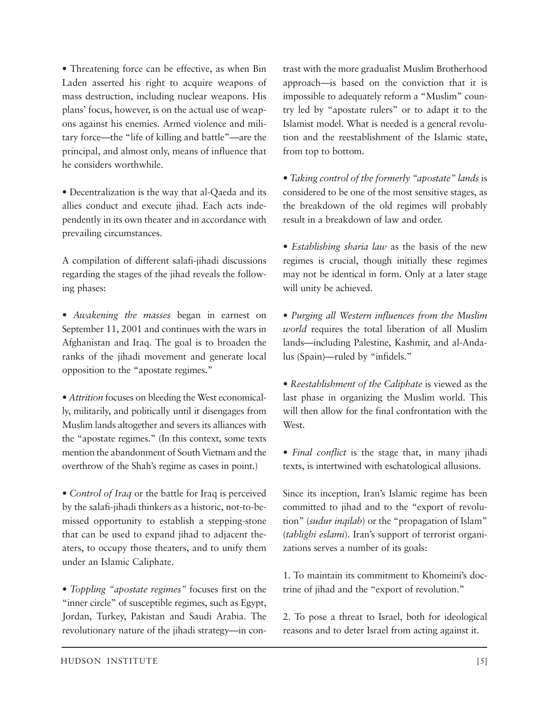• Threatening force can be effective, as when Bin Laden asserted his right to acquire weapons of mass destruction, including nuclear weapons. His plans' focus, however, is on the actual use of weapons against his enemies. Armed violence and military force—the "life of killing and battle"—are the principal, and almost only, means of influence that he considers worthwhile.

• Decentralization is the way that al-Qaeda and its allies conduct and execute jihad. Each acts independently in its own theater and in accordance with prevailing circumstances.

A compilation of different salafi-jihadi discussions regarding the stages of the jihad reveals the following phases:

*• Awakening the masses* began in earnest on September 11, 2001 and continues with the wars in Afghanistan and Iraq. The goal is to broaden the ranks of the jihadi movement and generate local opposition to the "apostate regimes."

*• Attrition* focuses on bleeding the West economically, militarily, and politically until it disengages from Muslim lands altogether and severs its alliances with the "apostate regimes." (In this context, some texts mention the abandonment of South Vietnam and the overthrow of the Shah's regime as cases in point.)

*• Control of Iraq* or the battle for Iraq is perceived by the salafi-jihadi thinkers as a historic, not-to-bemissed opportunity to establish a stepping-stone that can be used to expand jihad to adjacent theaters, to occupy those theaters, and to unify them under an Islamic Caliphate.

*• Toppling "apostate regimes"* focuses first on the "inner circle" of susceptible regimes, such as Egypt, Jordan, Turkey, Pakistan and Saudi Arabia. The revolutionary nature of the jihadi strategy—in contrast with the more gradualist Muslim Brotherhood approach—is based on the conviction that it is impossible to adequately reform a "Muslim" country led by "apostate rulers" or to adapt it to the Islamist model. What is needed is a general revolution and the reestablishment of the Islamic state, from top to bottom.

*• Taking control of the formerly "apostate" lands* is considered to be one of the most sensitive stages, as the breakdown of the old regimes will probably result in a breakdown of law and order.

*• Establishing sharia law* as the basis of the new regimes is crucial, though initially these regimes may not be identical in form. Only at a later stage will unity be achieved.

*• Purging all Western influences from the Muslim world* requires the total liberation of all Muslim lands—including Palestine, Kashmir, and al-Andalus (Spain)—ruled by "infidels."

*• Reestablishment of the Caliphate* is viewed as the last phase in organizing the Muslim world. This will then allow for the final confrontation with the West.

*• Final conflict* is the stage that, in many jihadi texts, is intertwined with eschatological allusions.

Since its inception, Iran's Islamic regime has been committed to jihad and to the "export of revolution" (*sudur inqilab*) or the "propagation of Islam" (*tablighi eslami*). Iran's support of terrorist organizations serves a number of its goals:

1. To maintain its commitment to Khomeini's doctrine of jihad and the "export of revolution."

2. To pose a threat to Israel, both for ideological reasons and to deter Israel from acting against it.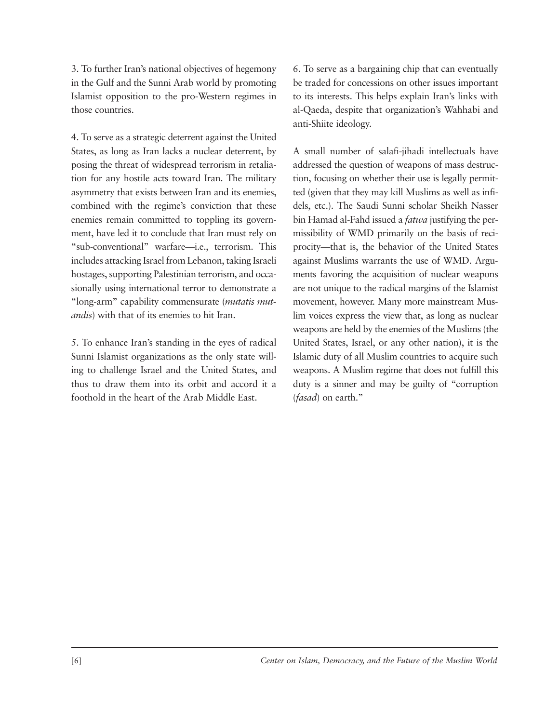3. To further Iran's national objectives of hegemony in the Gulf and the Sunni Arab world by promoting Islamist opposition to the pro-Western regimes in those countries.

4. To serve as a strategic deterrent against the United States, as long as Iran lacks a nuclear deterrent, by posing the threat of widespread terrorism in retaliation for any hostile acts toward Iran. The military asymmetry that exists between Iran and its enemies, combined with the regime's conviction that these enemies remain committed to toppling its government, have led it to conclude that Iran must rely on "sub-conventional" warfare—i.e., terrorism. This includes attacking Israel from Lebanon, taking Israeli hostages, supporting Palestinian terrorism, and occasionally using international terror to demonstrate a "long-arm" capability commensurate (*mutatis mut andis*) with that of its enemies to hit Iran.

5. To enhance Iran's standing in the eyes of radical Sunni Islamist organizations as the only state willing to challenge Israel and the United States, and thus to draw them into its orbit and accord it a foothold in the heart of the Arab Middle East.

6. To serve as a bargaining chip that can eventually be traded for concessions on other issues important to its interests. This helps explain Iran's links with al-Qaeda, despite that organization's Wahhabi and anti-Shiite ideology.

A small number of salafi-jihadi intellectuals have addressed the question of weapons of mass destruction, focusing on whether their use is legally permitted (given that they may kill Muslims as well as infidels, etc.). The Saudi Sunni scholar Sheikh Nasser bin Hamad al-Fahd issued a *fatwa* justifying the permissibility of WMD primarily on the basis of reciprocity—that is, the behavior of the United States against Muslims warrants the use of WMD. Arguments favoring the acquisition of nuclear weapons are not unique to the radical margins of the Islamist movement, however. Many more mainstream Muslim voices express the view that, as long as nuclear weapons are held by the enemies of the Muslims (the United States, Israel, or any other nation), it is the Islamic duty of all Muslim countries to acquire such weapons. A Muslim regime that does not fulfill this duty is a sinner and may be guilty of "corruption (*fasad*) on earth."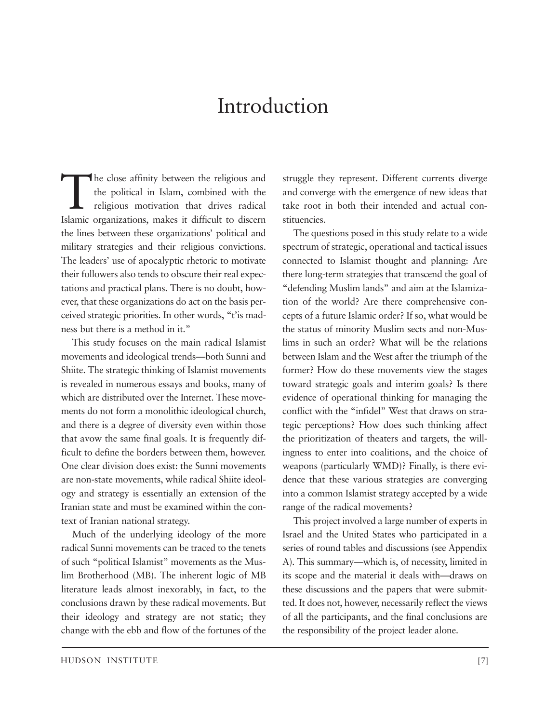## Introduction

The close affinity between the religious and<br>the political in Islam, combined with the<br>religious motivation that drives radical<br>Islamic organizations, makes it difficult to discern the political in Islam, combined with the religious motivation that drives radical Islamic organizations, makes it difficult to discern the lines between these organizations' political and military strategies and their religious convictions. The leaders' use of apocalyptic rhetoric to motivate their followers also tends to obscure their real expectations and practical plans. There is no doubt, however, that these organizations do act on the basis perceived strategic priorities. In other words, "t'is madness but there is a method in it."

This study focuses on the main radical Islamist movements and ideological trends—both Sunni and Shiite. The strategic thinking of Islamist movements is revealed in numerous essays and books, many of which are distributed over the Internet. These movements do not form a monolithic ideological church, and there is a degree of diversity even within those that avow the same final goals. It is frequently difficult to define the borders between them, however. One clear division does exist: the Sunni movements are non-state movements, while radical Shiite ideology and strategy is essentially an extension of the Iranian state and must be examined within the context of Iranian national strategy.

Much of the underlying ideology of the more radical Sunni movements can be traced to the tenets of such "political Islamist" movements as the Muslim Brotherhood (MB). The inherent logic of MB literature leads almost inexorably, in fact, to the conclusions drawn by these radical movements. But their ideology and strategy are not static; they change with the ebb and flow of the fortunes of the struggle they represent. Different currents diverge and converge with the emergence of new ideas that take root in both their intended and actual constituencies.

The questions posed in this study relate to a wide spectrum of strategic, operational and tactical issues connected to Islamist thought and planning: Are there long-term strategies that transcend the goal of "defending Muslim lands" and aim at the Islamization of the world? Are there comprehensive concepts of a future Islamic order? If so, what would be the status of minority Muslim sects and non-Muslims in such an order? What will be the relations between Islam and the West after the triumph of the former? How do these movements view the stages toward strategic goals and interim goals? Is there evidence of operational thinking for managing the conflict with the "infidel" West that draws on strategic perceptions? How does such thinking affect the prioritization of theaters and targets, the willingness to enter into coalitions, and the choice of weapons (particularly WMD)? Finally, is there evidence that these various strategies are converging into a common Islamist strategy accepted by a wide range of the radical movements?

This project involved a large number of experts in Israel and the United States who participated in a series of round tables and discussions (see Appendix A). This summary—which is, of necessity, limited in its scope and the material it deals with—draws on these discussions and the papers that were submitted. It does not, however, necessarily reflect the views of all the participants, and the final conclusions are the responsibility of the project leader alone.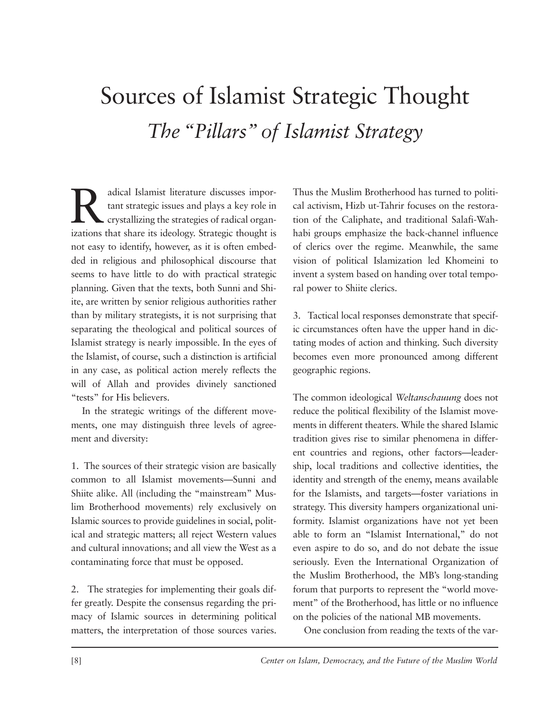# Sources of Islamist Strategic Thought *The "Pillars" of Islamist Strategy*

adical Islamist literature discusses important strategic issues and plays a key role in crystallizing the strategies of radical organizations that share its ideology. Strategic thought is tant strategic issues and plays a key role in crystallizing the strategies of radical organizations that share its ideology. Strategic thought is not easy to identify, however, as it is often embedded in religious and philosophical discourse that seems to have little to do with practical strategic planning. Given that the texts, both Sunni and Shiite, are written by senior religious authorities rather than by military strategists, it is not surprising that separating the theological and political sources of Islamist strategy is nearly impossible. In the eyes of the Islamist, of course, such a distinction is artificial in any case, as political action merely reflects the will of Allah and provides divinely sanctioned "tests" for His believers.

In the strategic writings of the different movements, one may distinguish three levels of agreement and diversity:

1. The sources of their strategic vision are basically common to all Islamist movements—Sunni and Shiite alike. All (including the "mainstream" Muslim Brotherhood movements) rely exclusively on Islamic sources to provide guidelines in social, political and strategic matters; all reject Western values and cultural innovations; and all view the West as a contaminating force that must be opposed.

2. The strategies for implementing their goals differ greatly. Despite the consensus regarding the primacy of Islamic sources in determining political matters, the interpretation of those sources varies. Thus the Muslim Brotherhood has turned to political activism, Hizb ut-Tahrir focuses on the restoration of the Caliphate, and traditional Salafi-Wahhabi groups emphasize the back-channel influence of clerics over the regime. Meanwhile, the same vision of political Islamization led Khomeini to invent a system based on handing over total temporal power to Shiite clerics.

3. Tactical local responses demonstrate that specific circumstances often have the upper hand in dictating modes of action and thinking. Such diversity becomes even more pronounced among different geographic regions.

The common ideological *Weltanschauung* does not reduce the political flexibility of the Islamist movements in different theaters. While the shared Islamic tradition gives rise to similar phenomena in different countries and regions, other factors—leadership, local traditions and collective identities, the identity and strength of the enemy, means available for the Islamists, and targets—foster variations in strategy. This diversity hampers organizational uniformity. Islamist organizations have not yet been able to form an "Islamist International," do not even aspire to do so, and do not debate the issue seriously. Even the International Organization of the Muslim Brotherhood, the MB's long-standing forum that purports to represent the "world movement" of the Brotherhood, has little or no influence on the policies of the national MB movements.

One conclusion from reading the texts of the var-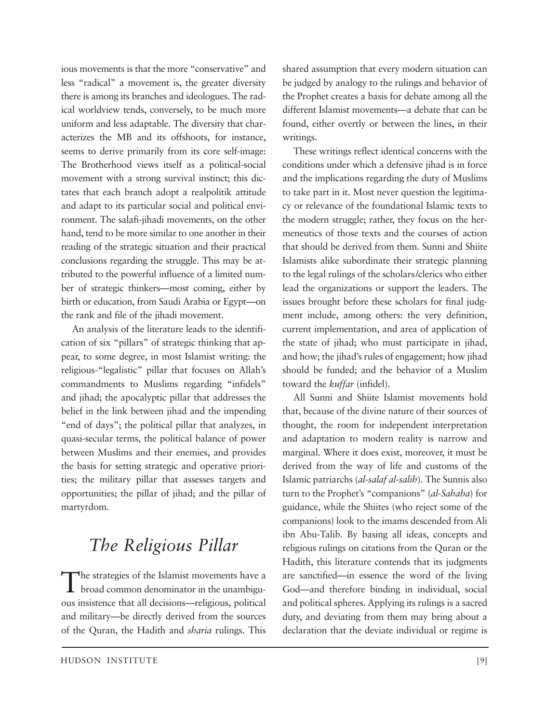ious movements is that the more "conservative" and less "radical" a movement is, the greater diversity there is among its branches and ideologues. The radical worldview tends, conversely, to be much more uniform and less adaptable. The diversity that characterizes the MB and its offshoots, for instance, seems to derive primarily from its core self-image: The Brotherhood views itself as a political-social movement with a strong survival instinct; this dictates that each branch adopt a realpolitik attitude and adapt to its particular social and political environment. The salafi-jihadi movements, on the other hand, tend to be more similar to one another in their reading of the strategic situation and their practical conclusions regarding the struggle. This may be attributed to the powerful influence of a limited number of strategic thinkers—most coming, either by birth or education, from Saudi Arabia or Egypt—on the rank and file of the jihadi movement.

An analysis of the literature leads to the identification of six "pillars" of strategic thinking that appear, to some degree, in most Islamist writing: the religious-"legalistic" pillar that focuses on Allah's commandments to Muslims regarding "infidels" and jihad; the apocalyptic pillar that addresses the belief in the link between jihad and the impending "end of days"; the political pillar that analyzes, in quasi-secular terms, the political balance of power between Muslims and their enemies, and provides the basis for setting strategic and operative priorities; the military pillar that assesses targets and opportunities; the pillar of jihad; and the pillar of martyrdom.

### *The Religious Pillar*

The strategies of the Islamist movements have a broad common denominator in the unambiguous insistence that all decisions—religious, political and military—be directly derived from the sources of the Quran, the Hadith and *sharia* rulings. This shared assumption that every modern situation can be judged by analogy to the rulings and behavior of the Prophet creates a basis for debate among all the different Islamist movements—a debate that can be found, either overtly or between the lines, in their writings.

These writings reflect identical concerns with the conditions under which a defensive jihad is in force and the implications regarding the duty of Muslims to take part in it. Most never question the legitimacy or relevance of the foundational Islamic texts to the modern struggle; rather, they focus on the hermeneutics of those texts and the courses of action that should be derived from them. Sunni and Shiite Islamists alike subordinate their strategic planning to the legal rulings of the scholars/clerics who either lead the organizations or support the leaders. The issues brought before these scholars for final judgment include, among others: the very definition, current implementation, and area of application of the state of jihad; who must participate in jihad, and how; the jihad's rules of engagement; how jihad should be funded; and the behavior of a Muslim toward the *kuffar* (infidel).

All Sunni and Shiite Islamist movements hold that, because of the divine nature of their sources of thought, the room for independent interpretation and adaptation to modern reality is narrow and marginal. Where it does exist, moreover, it must be derived from the way of life and customs of the Islamic patriarchs (*al-salaf al-salih*). The Sunnis also turn to the Prophet's "companions" (*al-Sahaba*) for guidance, while the Shiites (who reject some of the companions) look to the imams descended from Ali ibn Abu-Talib. By basing all ideas, concepts and religious rulings on citations from the Quran or the Hadith, this literature contends that its judgments are sanctified—in essence the word of the living God—and therefore binding in individual, social and political spheres. Applying its rulings is a sacred duty, and deviating from them may bring about a declaration that the deviate individual or regime is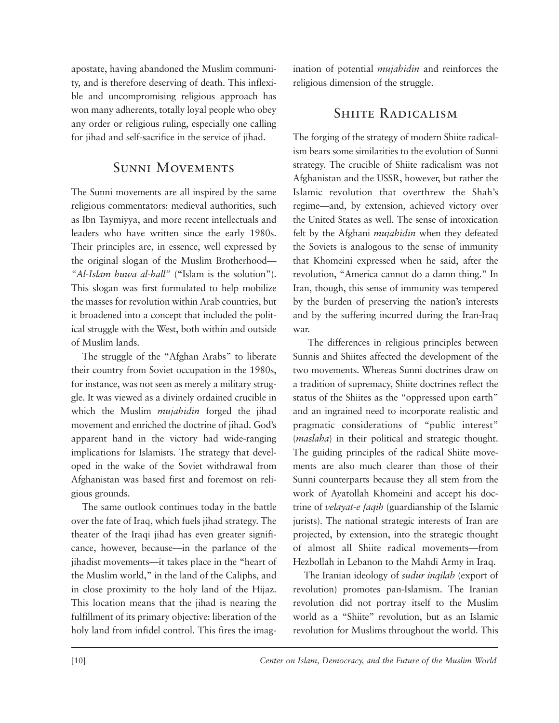apostate, having abandoned the Muslim community, and is therefore deserving of death. This inflexible and uncompromising religious approach has won many adherents, totally loyal people who obey any order or religious ruling, especially one calling for jihad and self-sacrifice in the service of jihad.

### Sunni Movements

The Sunni movements are all inspired by the same religious commentators: medieval authorities, such as Ibn Taymiyya, and more recent intellectuals and leaders who have written since the early 1980s. Their principles are, in essence, well expressed by the original slogan of the Muslim Brotherhood— *"Al-Islam huwa al-hall"* ("Islam is the solution"). This slogan was first formulated to help mobilize the masses for revolution within Arab countries, but it broadened into a concept that included the political struggle with the West, both within and outside of Muslim lands.

The struggle of the "Afghan Arabs" to liberate their country from Soviet occupation in the 1980s, for instance, was not seen as merely a military struggle. It was viewed as a divinely ordained crucible in which the Muslim *mujahidin* forged the jihad movement and enriched the doctrine of jihad. God's apparent hand in the victory had wide-ranging implications for Islamists. The strategy that developed in the wake of the Soviet withdrawal from Afghanistan was based first and foremost on religious grounds.

The same outlook continues today in the battle over the fate of Iraq, which fuels jihad strategy. The theater of the Iraqi jihad has even greater significance, however, because—in the parlance of the jihadist movements—it takes place in the "heart of the Muslim world," in the land of the Caliphs, and in close proximity to the holy land of the Hijaz. This location means that the jihad is nearing the fulfillment of its primary objective: liberation of the holy land from infidel control. This fires the imagination of potential *mujahidin* and reinforces the religious dimension of the struggle.

### SHIITE RADICALISM

The forging of the strategy of modern Shiite radicalism bears some similarities to the evolution of Sunni strategy. The crucible of Shiite radicalism was not Afghanistan and the USSR, however, but rather the Islamic revolution that overthrew the Shah's regime —and, by extension, achieved victory over the United States as well. The sense of intoxication felt by the Afghani *mujahidin* when they defeated the Soviets is analogous to the sense of immunity that Khomeini expressed when he said, after the revolution, "America cannot do a damn thing." In Iran, though, this sense of immunity was tempered by the burden of preserving the nation's interests and by the suffering incurred during the Iran-Iraq war.

The differences in religious principles between Sunnis and Shiites affected the development of the two movements. Whereas Sunni doctrines draw on a tradition of supremacy, Shiite doctrines reflect the status of the Shiites as the "oppressed upon earth" and an ingrained need to incorporate realistic and pragmatic considerations of "public interest" (*maslaha*) in their political and strategic thought. The guiding principles of the radical Shiite movements are also much clearer than those of their Sunni counterparts because they all stem from the work of Ayatollah Khomeini and accept his doctrine of *velayat-e faqih* (guardianship of the Islamic jurists). The national strategic interests of Iran are projected, by extension, into the strategic thought of almost all Shiite radical movements—from Hezbollah in Lebanon to the Mahdi Army in Iraq.

The Iranian ideology of *sudur inqilab* (export of revolution) promotes pan-Islamism. The Iranian revolution did not portray itself to the Muslim world as a "Shiite" revolution, but as an Islamic revolution for Muslims throughout the world. This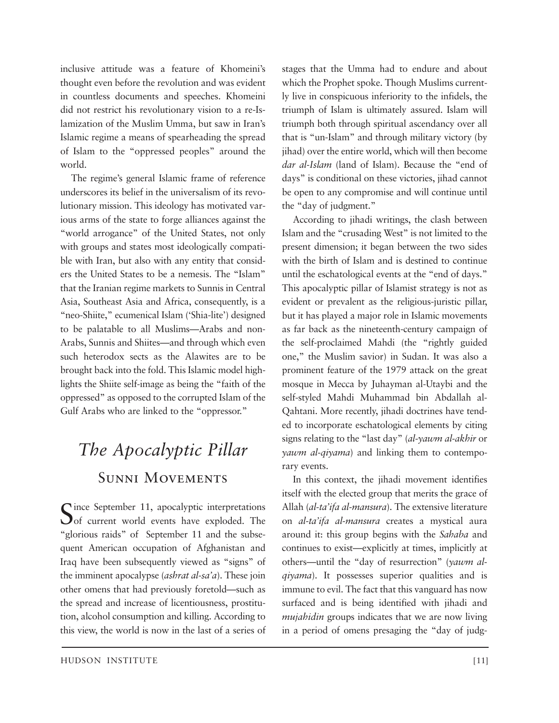inclusive attitude was a feature of Khomeini's thought even before the revolution and was evident in countless documents and speeches. Khomeini did not restrict his revolutionary vision to a re-Is lamization of the Muslim Umma, but saw in Iran's Islamic regime a means of spearheading the spread of Islam to the "oppressed peoples" around the world.

The regime's general Islamic frame of reference underscores its belief in the universalism of its revolutionary mission. This ideology has motivated various arms of the state to forge alliances against the "world arrogance" of the United States, not only with groups and states most ideologically compatible with Iran, but also with any entity that considers the United States to be a nemesis. The "Islam" that the Iranian regime markets to Sunnis in Central Asia, Southeast Asia and Africa, consequently, is a "neo-Shiite," ecumenical Islam ('Shia-lite') designed to be palatable to all Muslims—Arabs and non-Arabs, Sunnis and Shiites—and through which even such heterodox sects as the Alawites are to be brought back into the fold. This Islamic model highlights the Shiite self-image as being the "faith of the oppressed" as opposed to the corrupted Islam of the Gulf Arabs who are linked to the "oppressor."

## *The Apocalyptic Pillar* Sunni Movements

 $\Gamma$  ince September 11, apocalyptic interpretations  $\mathbf{\mathcal{O}}$  of current world events have exploded. The "glorious raids" of September 11 and the subsequent American occupation of Afghanistan and Iraq have been subsequently viewed as "signs" of the imminent apocalypse (*ashrat al-sa'a*). These join other omens that had previously foretold—such as the spread and increase of licentiousness, prostitution, alcohol consumption and killing. According to this view, the world is now in the last of a series of

which the Prophet spoke. Though Muslims currently live in conspicuous inferiority to the infidels, the triumph of Islam is ultimately assured. Islam will triumph both through spiritual ascendancy over all that is "un-Islam" and through military victory (by jihad) over the entire world, which will then become *dar al-Islam* (land of Islam). Because the "end of days" is conditional on these victories, jihad cannot be open to any compromise and will continue until the "day of judgment." According to jihadi writings, the clash between

stages that the Umma had to endure and about

Islam and the "crusading West" is not limited to the present dimension; it began between the two sides with the birth of Islam and is destined to continue until the eschatological events at the "end of days." This apocalyptic pillar of Islamist strategy is not as evident or prevalent as the religious-juristic pillar, but it has played a major role in Islamic movements as far back as the nineteenth-century campaign of the self-proclaimed Mahdi (the "rightly guided one," the Muslim savior) in Sudan. It was also a prominent feature of the 1979 attack on the great mosque in Mecca by Juhayman al-Utaybi and the self-styled Mahdi Muhammad bin Abdallah al-Qahtani. More recently, jihadi doctrines have tended to incorporate eschatological elements by citing signs relating to the "last day" (*al-yawm al-akhir* or *yawm al-qiyama*) and linking them to contemporary events.

In this context, the jihadi movement identifies itself with the elected group that merits the grace of Allah (*al-ta'ifa al-mansura*). The extensive literature on *al-ta'ifa al-mansura* creates a mystical aura around it: this group begins with the *Sahaba* and continues to exist—explicitly at times, implicitly at others—until the "day of resurrection" (*yawm alqiyama*). It possesses superior qualities and is immune to evil. The fact that this vanguard has now surfaced and is being identified with jihadi and *mujahidin* groups indicates that we are now living in a period of omens presaging the "day of judg-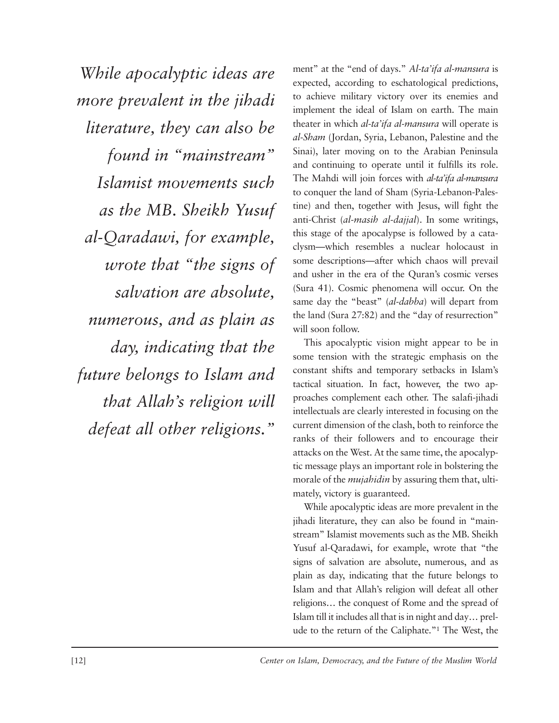*While apocalyptic ideas are more prevalent in the jihadi literature, they can also be found in "mainstream" Islamist movements such as the MB. Sheikh Yusuf al-Qaradawi, for example, wrote that "the signs of salvation are absolute, numerous, and as plain as day, indicating that the future belongs to Islam and that Allah's religion will defeat all other religions."*

ment" at the "end of days." *Al-ta'ifa al-mansura* is expected, according to eschatological predictions, to achieve military victory over its enemies and implement the ideal of Islam on earth. The main theater in which *al-ta'ifa al-mansura* will operate is *al-Sham* (Jordan, Syria, Lebanon, Palestine and the Sinai), later moving on to the Arabian Peninsula and continuing to operate until it fulfills its role. The Mahdi will join forces with *al-ta'ifa al-mansura* to conquer the land of Sham (Syria-Lebanon-Palestine) and then, together with Jesus, will fight the anti-Christ (*al-masih al-dajjal*). In some writings, this stage of the apocalypse is followed by a cataclysm—which resembles a nuclear holocaust in some descriptions—after which chaos will prevail and usher in the era of the Quran's cosmic verses (Sura 41). Cosmic phenomena will occur. On the same day the "beast" (*al-dabba*) will depart from the land (Sura 27:82) and the "day of resurrection" will soon follow.

This apocalyptic vision might appear to be in some tension with the strategic emphasis on the constant shifts and temporary setbacks in Islam's tactical situation. In fact, however, the two approaches complement each other. The salafi-jihadi intellectuals are clearly interested in focusing on the current dimension of the clash, both to reinforce the ranks of their followers and to encourage their attacks on the West. At the same time, the apocalyptic message plays an important role in bolstering the morale of the *mujahidin* by assuring them that, ultimately, victory is guaranteed.

While apocalyptic ideas are more prevalent in the jihadi literature, they can also be found in "mainstream" Islamist movements such as the MB. Sheikh Yusuf al-Qaradawi, for example, wrote that "the signs of salvation are absolute, numerous, and as plain as day, indicating that the future belongs to Islam and that Allah's religion will defeat all other religions… the conquest of Rome and the spread of Islam till it includes all that is in night and day… prelude to the return of the Caliphate."1 The West, the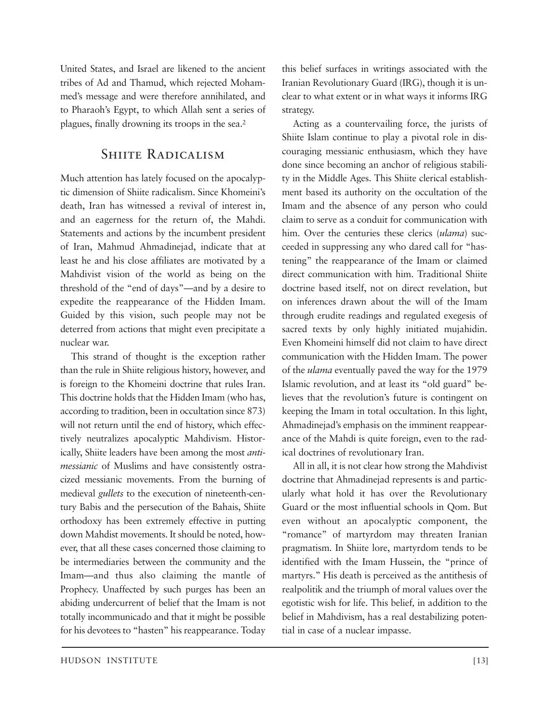United States, and Israel are likened to the ancient tribes of Ad and Thamud, which rejected Mohammed's message and were therefore annihilated, and to Pharaoh's Egypt, to which Allah sent a series of plagues, finally drowning its troops in the sea.2

### SHIITE RADICALISM

Much attention has lately focused on the apocalyptic dimension of Shiite radicalism. Since Khomeini's death, Iran has witnessed a revival of interest in, and an eagerness for the return of, the Mahdi. Statements and actions by the incumbent president of Iran, Mahmud Ahmadinejad, indicate that at least he and his close affiliates are motivated by a Mahdivist vision of the world as being on the threshold of the "end of days"—and by a desire to expedite the reappearance of the Hidden Imam. Guided by this vision, such people may not be deterred from actions that might even precipitate a nuclear war.

This strand of thought is the exception rather than the rule in Shiite religious history, however, and is foreign to the Khomeini doctrine that rules Iran. This doctrine holds that the Hidden Imam (who has, according to tradition, been in occultation since 873) will not return until the end of history, which effectively neutralizes apocalyptic Mahdivism. Historically, Shiite leaders have been among the most *antimessianic* of Muslims and have consistently ostracized messianic movements. From the burning of medieval *gullets* to the execution of nineteenth-century Babis and the persecution of the Bahais, Shiite orthodoxy has been extremely effective in putting down Mahdist movements. It should be noted, however, that all these cases concerned those claiming to be intermediaries between the community and the Imam—and thus also claiming the mantle of Prophecy. Unaffected by such purges has been an abiding undercurrent of belief that the Imam is not totally incommunicado and that it might be possible for his devotees to "hasten" his reappearance. Today

this belief surfaces in writings associated with the Iranian Revolutionary Guard (IRG), though it is unclear to what extent or in what ways it informs IRG strategy.

Acting as a countervailing force, the jurists of Shiite Islam continue to play a pivotal role in discouraging messianic enthusiasm, which they have done since becoming an anchor of religious stability in the Middle Ages. This Shiite clerical establishment based its authority on the occultation of the Imam and the absence of any person who could claim to serve as a conduit for communication with him. Over the centuries these clerics (*ulama*) succeeded in suppressing any who dared call for "hastening" the reappearance of the Imam or claimed direct communication with him. Traditional Shiite doctrine based itself, not on direct revelation, but on inferences drawn about the will of the Imam through erudite readings and regulated exegesis of sacred texts by only highly initiated mujahidin. Even Khomeini himself did not claim to have direct communication with the Hidden Imam. The power of the *ulama* eventually paved the way for the 1979 Islamic revolution, and at least its "old guard" be lieves that the revolution's future is contingent on keeping the Imam in total occultation. In this light, Ahmadinejad's emphasis on the imminent reappearance of the Mahdi is quite foreign, even to the radical doctrines of revolutionary Iran.

All in all, it is not clear how strong the Mahdivist doctrine that Ahmadinejad represents is and particularly what hold it has over the Revolutionary Guard or the most influential schools in Qom. But even without an apocalyptic component, the "romance" of martyrdom may threaten Iranian pragmatism. In Shiite lore, martyrdom tends to be identified with the Imam Hussein, the "prince of martyrs." His death is perceived as the antithesis of realpolitik and the triumph of moral values over the egotistic wish for life. This belief*,* in addition to the belief in Mahdivism, has a real destabilizing potential in case of a nuclear impasse.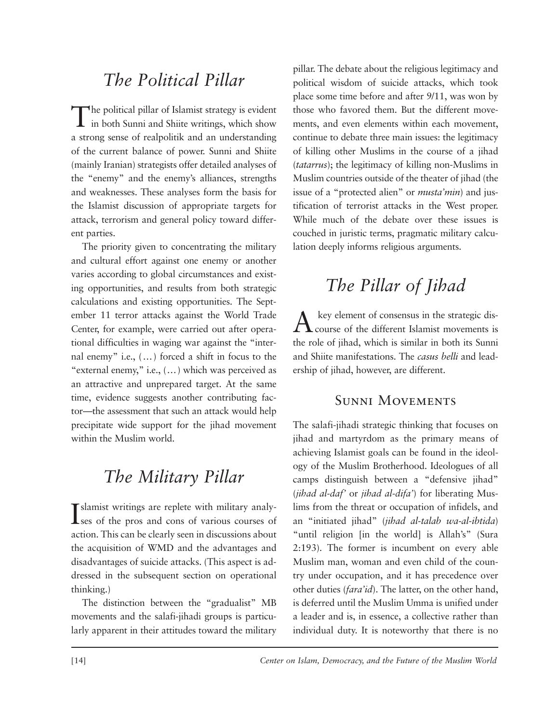### *The Political Pillar*

The political pillar of Islamist strategy is evident in both Sunni and Shiite writings, which show a strong sense of realpolitik and an understanding of the current balance of power. Sunni and Shiite (mainly Iranian) strategists offer detailed analyses of the "enemy" and the enemy's alliances, strengths and weaknesses. These analyses form the basis for the Islamist discussion of appropriate targets for attack, terrorism and general policy toward different parties.

The priority given to concentrating the military and cultural effort against one enemy or another varies according to global circumstances and existing opportunities, and results from both strategic calculations and existing opportunities. The September 11 terror attacks against the World Trade Center, for example, were carried out after operational difficulties in waging war against the "internal enemy" i.e., (…) forced a shift in focus to the "external enemy," i.e., (…) which was perceived as an attractive and unprepared target. At the same time, evidence suggests another contributing factor—the assessment that such an attack would help precipitate wide support for the jihad movement within the Muslim world.

### *The Military Pillar*

Islamist writings are replete with military analyses of the pros and cons of various courses of **L**ses of the pros and cons of various courses of action. This can be clearly seen in discussions about the acquisition of WMD and the advantages and disadvantages of suicide attacks. (This aspect is ad dressed in the subsequent section on operational thinking.)

The distinction between the "gradualist" MB movements and the salafi-jihadi groups is particularly apparent in their attitudes toward the military

pillar. The debate about the religious legitimacy and political wisdom of suicide attacks, which took place some time before and after 9/11, was won by those who favored them. But the different movements, and even elements within each movement, continue to debate three main issues: the legitimacy of killing other Muslims in the course of a jihad (*tatarrus*); the legitimacy of killing non-Muslims in Muslim countries outside of the theater of jihad (the issue of a "protected alien" or *musta'min*) and justification of terrorist attacks in the West proper. While much of the debate over these issues is couched in juristic terms, pragmatic military calculation deeply informs religious arguments.

### *The Pillar of Jihad*

 $A$  key element of consensus in the strategic discourse of the different Islamist movements is the role of jihad, which is similar in both its Sunni and Shiite manifestations. The *casus belli* and leadership of jihad, however, are different.

#### Sunni Movements

The salafi-jihadi strategic thinking that focuses on jihad and martyrdom as the primary means of achieving Islamist goals can be found in the ideology of the Muslim Brotherhood. Ideologues of all camps distinguish between a "defensive jihad" (*jihad al-daf'* or *jihad al-difa'*) for liberating Muslims from the threat or occupation of infidels, and an "initiated jihad" (*jihad al-talab wa-al-ibtida*) "until religion [in the world] is Allah's" (Sura 2:193). The former is incumbent on every able Muslim man, woman and even child of the country under occupation, and it has precedence over other duties (*fara'id*). The latter, on the other hand, is deferred until the Muslim Umma is unified under a leader and is, in essence, a collective rather than individual duty. It is noteworthy that there is no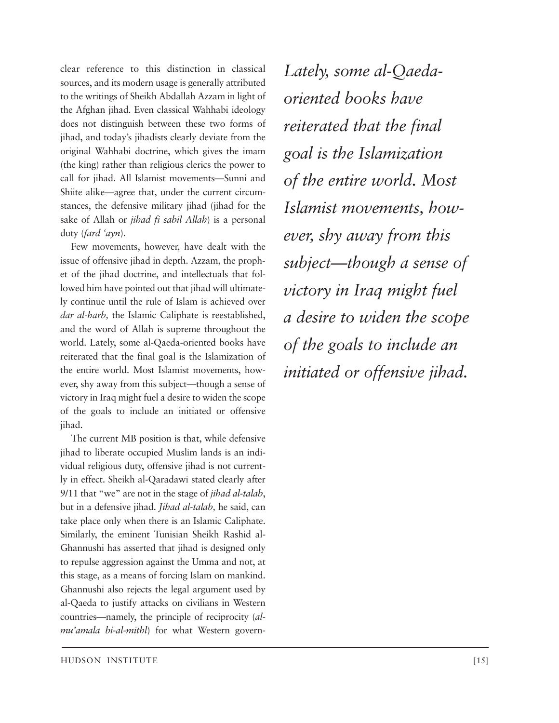clear reference to this distinction in classical sources, and its modern usage is generally attributed to the writings of Sheikh Abdallah Azzam in light of the Afghan jihad. Even classical Wahhabi ideology does not distinguish between these two forms of jihad, and today's jihadists clearly deviate from the original Wahhabi doctrine, which gives the imam (the king) rather than religious clerics the power to call for jihad. All Islamist movements—Sunni and Shiite alike—agree that, under the current circumstances, the defensive military jihad (jihad for the sake of Allah or *jihad fi sabil Allah*) is a personal duty (*fard 'ayn*).

Few movements, however, have dealt with the issue of offensive jihad in depth. Azzam, the prophet of the jihad doctrine, and intellectuals that followed him have pointed out that jihad will ultimately continue until the rule of Islam is achieved over *dar al-harb,* the Islamic Caliphate is reestablished, and the word of Allah is supreme throughout the world. Lately, some al-Qaeda-oriented books have reiterated that the final goal is the Islamization of the entire world. Most Islamist movements, however, shy away from this subject—though a sense of victory in Iraq might fuel a desire to widen the scope of the goals to include an initiated or offensive jihad.

The current MB position is that, while defensive jihad to liberate occupied Muslim lands is an individual religious duty, offensive jihad is not currently in effect. Sheikh al-Qaradawi stated clearly after 9/11 that "we" are not in the stage of *jihad al-talab*, but in a defensive jihad. *Jihad al-talab,* he said, can take place only when there is an Islamic Caliphate. Similarly, the eminent Tunisian Sheikh Rashid al-Ghannushi has asserted that jihad is designed only to repulse aggression against the Umma and not, at this stage, as a means of forcing Islam on mankind. Ghannushi also rejects the legal argument used by al-Qaeda to justify attacks on civilians in Western countries—namely, the principle of reciprocity (*almu'amala bi-al-mithl*) for what Western govern*Lately, some al-Qaedaoriented books have reiterated that the final goal is the Isl am ization of the entire world. Most Islamist movements, however, shy away from this subject—though a sense of victory in Iraq might fuel a desire to widen the scope of the goals to include an initiated or offensive jihad.*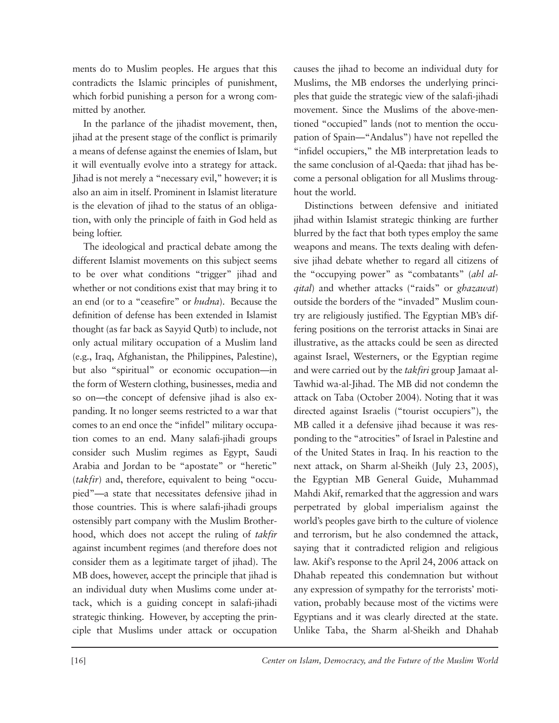ments do to Muslim peoples. He argues that this contradicts the Islamic principles of punishment, which forbid punishing a person for a wrong committed by another.

In the parlance of the jihadist movement, then, jihad at the present stage of the conflict is primarily a means of defense against the enemies of Islam, but it will eventually evolve into a strategy for attack. Jihad is not merely a "necessary evil," however; it is also an aim in itself. Prominent in Islamist literature is the elevation of jihad to the status of an obligation, with only the principle of faith in God held as being loftier.

The ideological and practical debate among the different Islamist movements on this subject seems to be over what conditions "trigger" jihad and whether or not conditions exist that may bring it to an end (or to a "ceasefire" or *hudna*). Because the definition of defense has been extended in Islamist thought (as far back as Sayyid Qutb) to include, not only actual military occupation of a Muslim land (e.g., Iraq, Afghanistan, the Philippines, Palestine), but also "spiritual" or economic occupation—in the form of Western clothing, businesses, media and so on—the concept of defensive jihad is also expanding. It no longer seems restricted to a war that comes to an end once the "infidel" military occupation comes to an end. Many salafi-jihadi groups consider such Muslim regimes as Egypt, Saudi Arabia and Jordan to be "apostate" or "heretic" (*takfir*) and, therefore, equivalent to being "occupied"—a state that necessitates defensive jihad in those countries. This is where salafi-jihadi groups ostensibly part company with the Muslim Brotherhood, which does not accept the ruling of *takfir* against incumbent regimes (and therefore does not consider them as a legitimate target of jihad). The MB does, however, accept the principle that jihad is an individual duty when Muslims come under attack, which is a guiding concept in salafi-jihadi strategic thinking. However, by accepting the principle that Muslims under attack or occupation

causes the jihad to become an individual duty for Muslims, the MB endorses the underlying principles that guide the strategic view of the salafi-jihadi movement. Since the Muslims of the above-mentioned "occupied" lands (not to mention the occupation of Spain—"Andalus") have not repelled the "infidel occupiers," the MB interpretation leads to the same conclusion of al-Qaeda: that jihad has become a personal obligation for all Muslims throughout the world.

Distinctions between defensive and initiated jihad within Islamist strategic thinking are further blurred by the fact that both types employ the same weapons and means. The texts dealing with defensive jihad debate whether to regard all citizens of the "occupying power" as "combatants" (*ahl alqital*) and whether attacks ("raids" or *ghazawat*) outside the borders of the "invaded" Muslim country are religiously justified. The Egyptian MB's differing positions on the terrorist attacks in Sinai are illustrative, as the attacks could be seen as directed against Israel, Westerners, or the Egyptian regime and were carried out by the *takfiri* group Jamaat al-Tawhid wa-al-Jihad. The MB did not condemn the attack on Taba (October 2004). Noting that it was directed against Israelis ("tourist occupiers"), the MB called it a defensive jihad because it was responding to the "atrocities" of Israel in Palestine and of the United States in Iraq. In his reaction to the next attack, on Sharm al-Sheikh (July 23, 2005), the Egyptian MB General Guide, Muhammad Mahdi Akif, remarked that the aggression and wars perpetrated by global imperialism against the world's peoples gave birth to the culture of violence and terrorism, but he also condemned the attack, saying that it contradicted religion and religious law. Akif's response to the April 24, 2006 attack on Dhahab repeated this condemnation but without any expression of sympathy for the terrorists' motivation, probably because most of the victims were Egyptians and it was clearly directed at the state. Unlike Taba, the Sharm al-Sheikh and Dhahab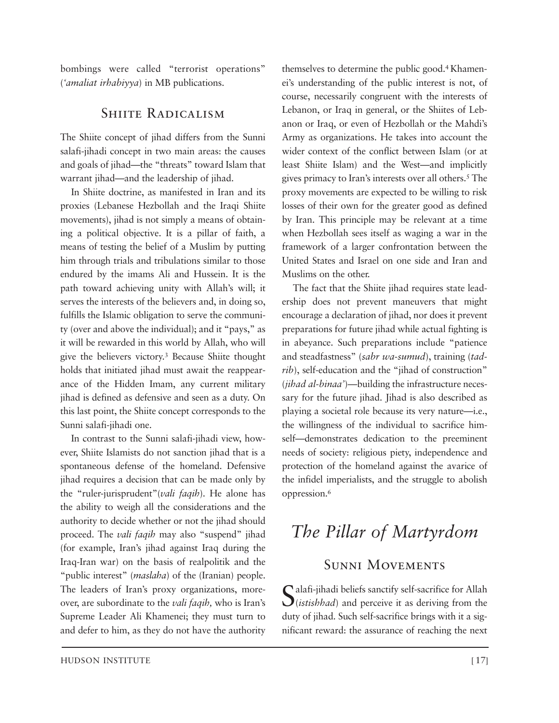bombings were called "terrorist operations" (*'amaliat irhabiyya*) in MB publications.

#### SHIITE RADICALISM

The Shiite concept of jihad differs from the Sunni salafi-jihadi concept in two main areas: the causes and goals of jihad—the "threats" toward Islam that warrant jihad—and the leadership of jihad.

In Shiite doctrine, as manifested in Iran and its proxies (Lebanese Hezbollah and the Iraqi Shiite movements), jihad is not simply a means of obtaining a political objective. It is a pillar of faith, a means of testing the belief of a Muslim by putting him through trials and tribulations similar to those endured by the imams Ali and Hussein. It is the path toward achieving unity with Allah's will; it serves the interests of the believers and, in doing so, fulfills the Islamic obligation to serve the community (over and above the individual); and it "pays," as it will be rewarded in this world by Allah, who will give the believers victory.3 Because Shiite thought holds that initiated jihad must await the reappearance of the Hidden Imam, any current military jihad is defined as defensive and seen as a duty. On this last point, the Shiite concept corresponds to the Sunni salafi-jihadi one.

In contrast to the Sunni salafi-jihadi view, however, Shiite Islamists do not sanction jihad that is a spontaneous defense of the homeland. Defensive jihad requires a decision that can be made only by the "ruler-jurisprudent"(*vali faqih*). He alone has the ability to weigh all the considerations and the authority to decide whether or not the jihad should proceed. The *vali faqih* may also "suspend" jihad (for example, Iran's jihad against Iraq during the Iraq-Iran war) on the basis of realpolitik and the "public interest" (*maslaha*) of the (Iranian) people. The leaders of Iran's proxy organizations, moreover, are subordinate to the *vali faqih,* who is Iran's Supreme Leader Ali Khamenei; they must turn to and defer to him, as they do not have the authority themselves to determine the public good.<sup>4</sup> Khamenei's understanding of the public interest is not, of course, necessarily congruent with the interests of Lebanon, or Iraq in general, or the Shiites of Lebanon or Iraq, or even of Hezbollah or the Mahdi's Army as organizations. He takes into account the wider context of the conflict between Islam (or at least Shiite Islam) and the West—and implicitly gives primacy to Iran's interests over all others.5 The proxy movements are expected to be willing to risk losses of their own for the greater good as defined by Iran. This principle may be relevant at a time when Hezbollah sees itself as waging a war in the framework of a larger confrontation between the United States and Israel on one side and Iran and Muslims on the other.

The fact that the Shiite jihad requires state leadership does not prevent maneuvers that might encourage a declaration of jihad, nor does it prevent preparations for future jihad while actual fighting is in abeyance. Such preparations include "patience and steadfastness" (*sabr wa-sumud*), training (*tad rib*), self-education and the "jihad of construction" (*jihad al-binaa'*)*—*building the infrastructure necessary for the future jihad. Jihad is also described as playing a societal role because its very nature—i.e., the willingness of the individual to sacrifice himself—demonstrates dedication to the preeminent needs of society: religious piety, independence and protection of the homeland against the avarice of the infidel imperialists, and the struggle to abolish oppression.6

### *The Pillar of Martyrdom*

### Sunni Movements

Salafi-jihadi beliefs sanctify self-sacrifice for Allah (*istishhad*) and perceive it as deriving from the duty of jihad. Such self-sacrifice brings with it a significant reward: the assurance of reaching the next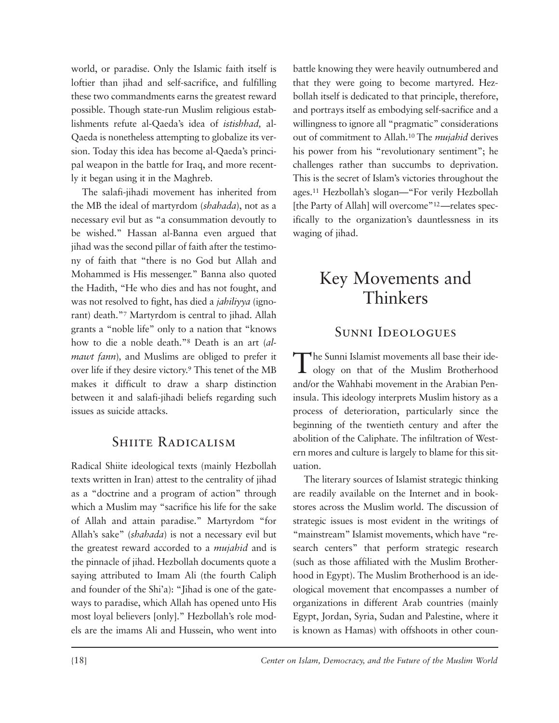world, or paradise. Only the Islamic faith itself is loftier than jihad and self-sacrifice, and fulfilling these two commandments earns the greatest reward possible. Though state-run Muslim religious establishments refute al-Qaeda's idea of *istishhad,* al-Qaeda is nonetheless attempting to globalize its version. Today this idea has become al-Qaeda's principal weapon in the battle for Iraq, and more recently it began using it in the Maghreb.

The salafi-jihadi movement has inherited from the MB the ideal of martyrdom (*shahada*), not as a necessary evil but as "a consummation devoutly to be wished." Hassan al-Banna even argued that jihad was the second pillar of faith after the testimony of faith that "there is no God but Allah and Mohammed is His messenger." Banna also quoted the Hadith, "He who dies and has not fought, and was not resolved to fight, has died a *jahiliyya* (ignorant) death."7 Martyrdom is central to jihad. Allah grants a "noble life" only to a nation that "knows how to die a noble death."8 Death is an art (*almawt fann*)*,* and Muslims are obliged to prefer it over life if they desire victory.9 This tenet of the MB makes it difficult to draw a sharp distinction between it and salafi-jihadi beliefs regarding such issues as suicide attacks.

#### SHIITE RADICALISM

Radical Shiite ideological texts (mainly Hezbollah texts written in Iran) attest to the centrality of jihad as a "doctrine and a program of action" through which a Muslim may "sacrifice his life for the sake of Allah and attain paradise." Martyrdom "for Allah's sake" (*shahada*) is not a necessary evil but the greatest reward accorded to a *mujahid* and is the pinnacle of jihad. Hezbollah documents quote a saying attributed to Imam Ali (the fourth Caliph and founder of the Shi'a): "Jihad is one of the gateways to paradise, which Allah has opened unto His most loyal believers [only]." Hezbollah's role models are the imams Ali and Hussein, who went into battle knowing they were heavily outnumbered and that they were going to become martyred. Hezbollah itself is dedicated to that principle, therefore, and portrays itself as embodying self-sacrifice and a willingness to ignore all "pragmatic" considerations out of commitment to Allah.10 The *mujahid* derives his power from his "revolutionary sentiment"; he challenges rather than succumbs to deprivation. This is the secret of Islam's victories throughout the ages.11 Hezbollah's slogan—"For verily Hezbollah [the Party of Allah] will overcome"<sup>12</sup>—relates specifically to the organization's dauntlessness in its waging of jihad.

### Key Movements and Thinkers

### Sunni Ideologues

The Sunni Islamist movements all base their ide-<br>ology on that of the Muslim Brotherhood and/or the Wahhabi movement in the Arabian Peninsula. This ideology interprets Muslim history as a process of deterioration, particularly since the beginning of the twentieth century and after the abolition of the Caliphate. The infiltration of Western mores and culture is largely to blame for this situation.

The literary sources of Islamist strategic thinking are readily available on the Internet and in bookstores across the Muslim world. The discussion of strategic issues is most evident in the writings of "mainstream" Islamist movements, which have "research centers" that perform strategic research (such as those affiliated with the Muslim Brother hood in Egypt). The Muslim Brotherhood is an ideological movement that encompasses a number of organizations in different Arab countries (mainly Egypt, Jordan, Syria, Sudan and Palestine, where it is known as Hamas) with offshoots in other coun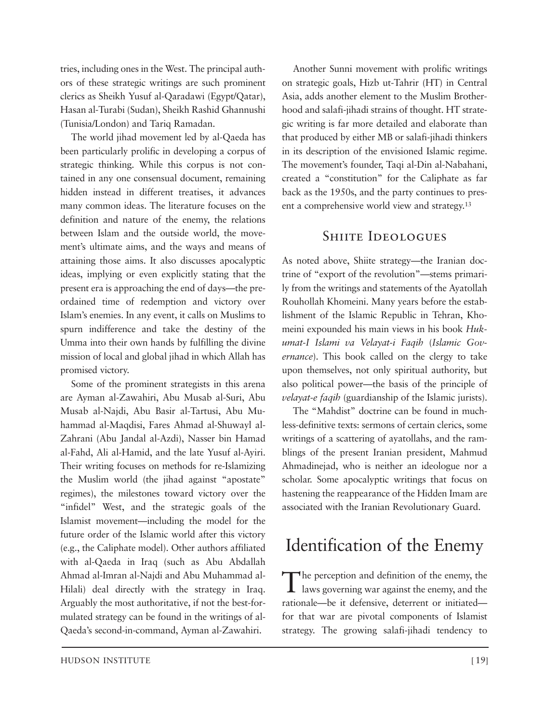tries, including ones in the West. The principal auth ors of these strategic writings are such prominent clerics as Sheikh Yusuf al-Qaradawi (Egypt/Qatar), Hasan al-Turabi (Sudan), Sheikh Rashid Ghannushi (Tunisia/London) and Tariq Ramadan.

The world jihad movement led by al-Qaeda has been particularly prolific in developing a corpus of strategic thinking. While this corpus is not contained in any one consensual document, remaining hidden instead in different treatises, it advances many common ideas. The literature focuses on the definition and nature of the enemy, the relations between Islam and the outside world, the movement's ultimate aims, and the ways and means of attaining those aims. It also discusses apocalyptic ideas, implying or even explicitly stating that the present era is approaching the end of days—the preordained time of redemption and victory over Islam's enemies. In any event, it calls on Muslims to spurn indifference and take the destiny of the Umma into their own hands by fulfilling the divine mission of local and global jihad in which Allah has promised victory.

Some of the prominent strategists in this arena are Ayman al-Zawahiri, Abu Musab al-Suri, Abu Musab al-Najdi, Abu Basir al-Tartusi, Abu Muham mad al-Maqdisi, Fares Ahmad al-Shuwayl al-Zahrani (Abu Jandal al-Azdi), Nasser bin Hamad al-Fahd, Ali al-Hamid, and the late Yusuf al-Ayiri. Their writing focuses on methods for re-Islamizing the Muslim world (the jihad against "apostate" regimes), the milestones toward victory over the "infidel" West, and the strategic goals of the Islamist movement—including the model for the future order of the Islamic world after this victory (e.g., the Caliphate model). Other authors affiliated with al-Qaeda in Iraq (such as Abu Abdallah Ahmad al-Imran al-Najdi and Abu Muhammad al-Hilali) deal directly with the strategy in Iraq. Arguably the most authoritative, if not the best-formulated strategy can be found in the writings of al-Qaeda's second-in-command, Ayman al-Zawahiri.

Another Sunni movement with prolific writings on strategic goals, Hizb ut-Tahrir (HT) in Central Asia, adds another element to the Muslim Brotherhood and salafi-jihadi strains of thought. HT strategic writing is far more detailed and elaborate than that produced by either MB or salafi-jihadi thinkers in its description of the envisioned Islamic regime. The movement's founder, Taqi al-Din al-Nabahani, created a "constitution" for the Caliphate as far back as the 1950s, and the party continues to present a comprehensive world view and strategy.13

#### SHIITE IDEOLOGUES

As noted above, Shiite strategy—the Iranian doctrine of "export of the revolution"—stems primarily from the writings and statements of the Ayatollah Rouhollah Khomeini. Many years before the establishment of the Islamic Republic in Tehran, Khomeini expounded his main views in his book *Huk umat-I Islami va Velayat-i Faqih* (*Islamic Gov ernance*). This book called on the clergy to take upon themselves, not only spiritual authority, but also political power—the basis of the principle of *velayat-e faqih* (guardianship of the Islamic jurists).

The "Mahdist" doctrine can be found in muchless-definitive texts: sermons of certain clerics, some writings of a scattering of ayatollahs, and the ramblings of the present Iranian president, Mahmud Ahmadinejad, who is neither an ideologue nor a scholar. Some apocalyptic writings that focus on hastening the reappearance of the Hidden Imam are associated with the Iranian Revolutionary Guard.

### Identification of the Enemy

The perception and definition of the enemy, the  $\perp$  laws governing war against the enemy, and the rationale—be it defensive, deterrent or initiated for that war are pivotal components of Islamist strategy. The growing salafi-jihadi tendency to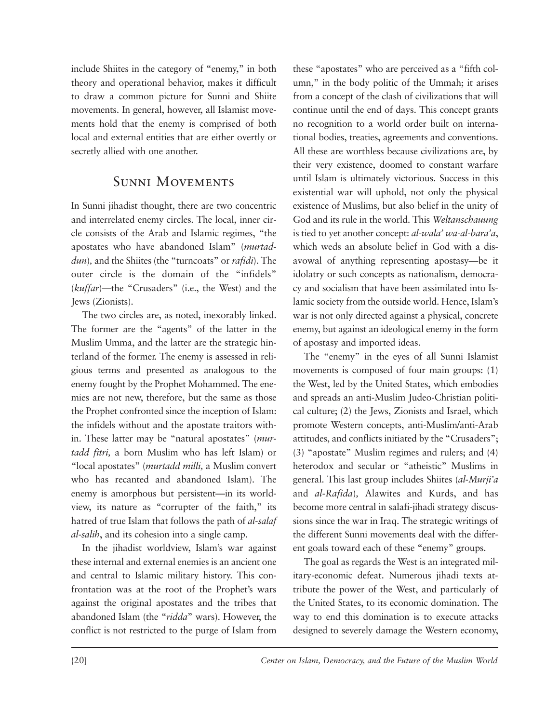include Shiites in the category of "enemy," in both theory and operational behavior, makes it difficult to draw a common picture for Sunni and Shiite movements. In general, however, all Islamist movements hold that the enemy is comprised of both local and external entities that are either overtly or secretly allied with one another.

### Sunni Movements

In Sunni jihadist thought, there are two concentric and interrelated enemy circles. The local, inner circle consists of the Arab and Islamic regimes, "the apostates who have abandoned Islam" (*murtaddun*)*,* and the Shiites (the "turncoats" or *rafidi*). The outer circle is the domain of the "infidels" (*kuffar*)*—*the "Crusaders" (i.e., the West) and the Jews (Zionists).

The two circles are, as noted, inexorably linked. The former are the "agents" of the latter in the Muslim Umma, and the latter are the strategic hinterland of the former. The enemy is assessed in religious terms and presented as analogous to the enemy fought by the Prophet Mohammed. The enemies are not new, therefore, but the same as those the Prophet confronted since the inception of Islam: the infidels without and the apostate traitors within. These latter may be "natural apostates" (*murtadd fitri,* a born Muslim who has left Islam) or "local apostates" (*murtadd milli,* a Muslim convert who has recanted and abandoned Islam). The enemy is amorphous but persistent—in its worldview, its nature as "corrupter of the faith," its hatred of true Islam that follows the path of *al-salaf al-salih*, and its cohesion into a single camp.

In the jihadist worldview, Islam's war against these internal and external enemies is an ancient one and central to Islamic military history. This confrontation was at the root of the Prophet's wars against the original apostates and the tribes that abandoned Islam (the "*ridda*" wars). However, the conflict is not restricted to the purge of Islam from

these "apostates" who are perceived as a "fifth column," in the body politic of the Ummah; it arises from a concept of the clash of civilizations that will continue until the end of days. This concept grants no recognition to a world order built on international bodies, treaties, agreements and conventions. All these are worthless because civilizations are, by their very existence, doomed to constant warfare until Islam is ultimately victorious. Success in this existential war will uphold, not only the physical existence of Muslims, but also belief in the unity of God and its rule in the world. This *Weltanschauung* is tied to yet another concept: *al-wala' wa-al-bara'a*, which weds an absolute belief in God with a disavowal of anything representing apostasy—be it idolatry or such concepts as nationalism, democracy and socialism that have been assimilated into Islamic society from the outside world. Hence, Islam's war is not only directed against a physical, concrete enemy, but against an ideological enemy in the form of apostasy and imported ideas.

The "enemy" in the eyes of all Sunni Islamist movements is composed of four main groups: (1) the West, led by the United States, which embodies and spreads an anti-Muslim Judeo-Christian political culture; (2) the Jews, Zionists and Israel, which promote Western concepts, anti-Muslim/anti-Arab attitudes, and conflicts initiated by the "Crusaders"; (3) "apostate" Muslim regimes and rulers; and (4) heterodox and secular or "atheistic" Muslims in general. This last group includes Shiites (*al-Murji'a* and *al-Rafida*)*,* Alawites and Kurds, and has become more central in salafi-jihadi strategy discussions since the war in Iraq. The strategic writings of the different Sunni movements deal with the different goals toward each of these "enemy" groups.

The goal as regards the West is an integrated military-economic defeat. Numerous jihadi texts at tribute the power of the West, and particularly of the United States, to its economic domination. The way to end this domination is to execute attacks designed to severely damage the Western economy,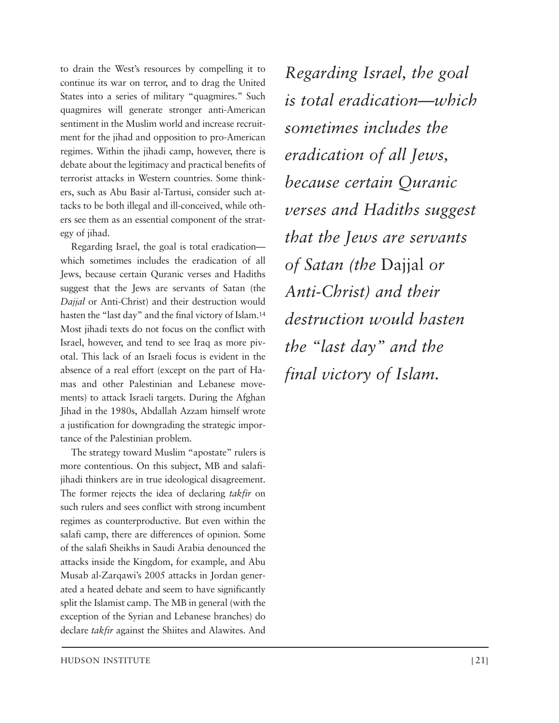to drain the West's resources by compelling it to continue its war on terror, and to drag the United States into a series of military "quagmires." Such quagmires will generate stronger anti-American sentiment in the Muslim world and increase recruitment for the jihad and opposition to pro-American regimes. Within the jihadi camp, however, there is debate about the legitimacy and practical benefits of terrorist attacks in Western countries. Some think ers, such as Abu Basir al-Tartusi, consider such attacks to be both illegal and ill-conceived, while others see them as an essential component of the strategy of jihad.

Regarding Israel, the goal is total eradication which sometimes includes the eradication of all Jews, because certain Quranic verses and Hadiths suggest that the Jews are servants of Satan (the *Dajjal* or Anti-Christ) and their destruction would hasten the "last day" and the final victory of Islam.<sup>14</sup> Most jihadi texts do not focus on the conflict with Israel, however, and tend to see Iraq as more pivotal. This lack of an Israeli focus is evident in the absence of a real effort (except on the part of Hamas and other Palestinian and Lebanese movements) to attack Israeli targets. During the Afghan Jihad in the 1980s, Abdallah Azzam himself wrote a justification for downgrading the strategic importance of the Palestinian problem.

The strategy toward Muslim "apostate" rulers is more contentious. On this subject, MB and salafijihadi thinkers are in true ideological disagreement. The former rejects the idea of declaring *takfir* on such rulers and sees conflict with strong incumbent regimes as counterproductive. But even within the salafi camp, there are differences of opinion. Some of the salafi Sheikhs in Saudi Arabia denounced the attacks inside the Kingdom, for example, and Abu Musab al-Zarqawi's 2005 attacks in Jordan generated a heated debate and seem to have significantly split the Islamist camp. The MB in general (with the exception of the Syrian and Lebanese branches) do declare *takfir* against the Shiites and Alawites. And

*Regarding Israel, the goal is total eradication—which sometimes includes the eradication of all Jews, because certain Quranic verses and Hadiths suggest that the Jews are servants of Satan (the* Dajjal *or Anti-Christ) and their destruction would hasten the "last day" and the final victory of Islam.*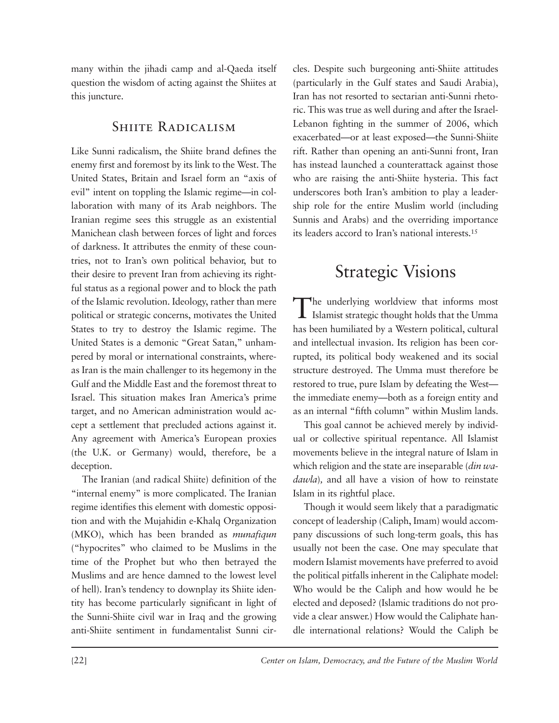many within the jihadi camp and al-Qaeda itself question the wisdom of acting against the Shiites at this juncture.

### SHIITE RADICALISM

Like Sunni radicalism, the Shiite brand defines the enemy first and foremost by its link to the West. The United States, Britain and Israel form an "axis of evil" intent on toppling the Islamic regime—in collaboration with many of its Arab neighbors. The Iranian regime sees this struggle as an existential Manichean clash between forces of light and forces of darkness. It attributes the enmity of these countries, not to Iran's own political behavior, but to their desire to prevent Iran from achieving its rightful status as a regional power and to block the path of the Islamic revolution. Ideology, rather than mere political or strategic concerns, motivates the United States to try to destroy the Islamic regime. The United States is a demonic "Great Satan," unhampered by moral or international constraints, whereas Iran is the main challenger to its hegemony in the Gulf and the Middle East and the foremost threat to Israel. This situation makes Iran America's prime target, and no American administration would accept a settlement that precluded actions against it. Any agreement with America's European proxies (the U.K. or Germany) would, therefore, be a deception.

The Iranian (and radical Shiite) definition of the "internal enemy" is more complicated. The Iranian regime identifies this element with domestic opposition and with the Mujahidin e-Khalq Organization (MKO), which has been branded as *munafiqun* ("hypocrites" who claimed to be Muslims in the time of the Prophet but who then betrayed the Muslims and are hence damned to the lowest level of hell). Iran's tendency to downplay its Shiite identity has become particularly significant in light of the Sunni-Shiite civil war in Iraq and the growing anti-Shiite sentiment in fundamentalist Sunni circles. Despite such burgeoning anti-Shiite attitudes (particularly in the Gulf states and Saudi Arabia), Iran has not resorted to sectarian anti-Sunni rhetoric. This was true as well during and after the Israel-Lebanon fighting in the summer of 2006, which exacerbated—or at least exposed—the Sunni-Shiite rift. Rather than opening an anti-Sunni front, Iran has instead launched a counterattack against those who are raising the anti-Shiite hysteria. This fact underscores both Iran's ambition to play a leadership role for the entire Muslim world (including Sunnis and Arabs) and the overriding importance its leaders accord to Iran's national interests.15

### Strategic Visions

The underlying worldview that informs most Islamist strategic thought holds that the Umma has been humiliated by a Western political, cultural and intellectual invasion. Its religion has been corrupted, its political body weakened and its social structure destroyed. The Umma must therefore be restored to true, pure Islam by defeating the West the immediate enemy—both as a foreign entity and as an internal "fifth column" within Muslim lands.

This goal cannot be achieved merely by individual or collective spiritual repentance. All Islamist movements believe in the integral nature of Islam in which religion and the state are inseparable (*din wadawla*)*,* and all have a vision of how to reinstate Islam in its rightful place.

Though it would seem likely that a paradigmatic concept of leadership (Caliph, Imam) would accompany discussions of such long-term goals, this has usually not been the case. One may speculate that modern Islamist movements have preferred to avoid the political pitfalls inherent in the Caliphate model: Who would be the Caliph and how would he be elected and deposed? (Islamic traditions do not provide a clear answer.) How would the Caliphate handle international relations? Would the Caliph be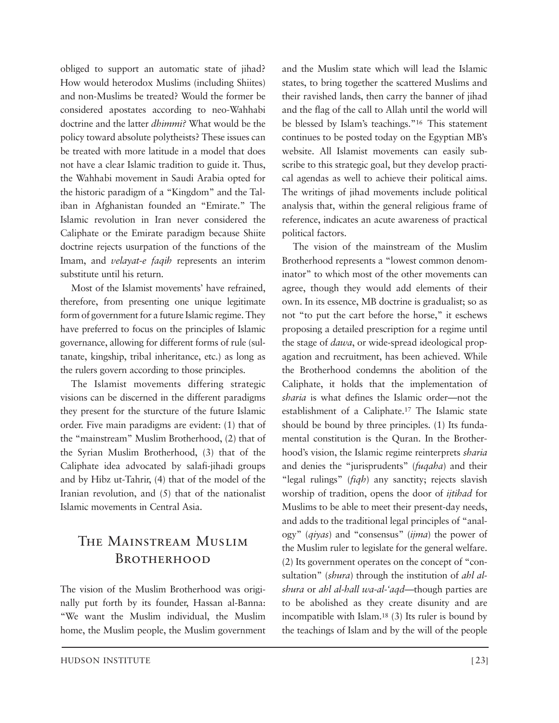obliged to support an automatic state of jihad? How would heterodox Muslims (including Shiites) and non-Muslims be treated? Would the former be considered apostates according to neo-Wahhabi doctrine and the latter *dhimmi?* What would be the policy toward absolute polytheists? These issues can be treated with more latitude in a model that does not have a clear Islamic tradition to guide it. Thus, the Wahhabi movement in Saudi Arabia opted for the historic paradigm of a "Kingdom" and the Taliban in Afghanistan founded an "Emirate." The Islamic revolution in Iran never considered the Caliphate or the Emirate paradigm because Shiite doctrine rejects usurpation of the functions of the Imam, and *velayat-e faqih* represents an interim substitute until his return.

Most of the Islamist movements' have refrained, therefore, from presenting one unique legitimate form of government for a future Islamic regime. They have preferred to focus on the principles of Islamic governance, allowing for different forms of rule (sultanate, kingship, tribal inheritance, etc.) as long as the rulers govern according to those principles.

The Islamist movements differing strategic visions can be discerned in the different paradigms they present for the sturcture of the future Islamic order. Five main paradigms are evident: (1) that of the "mainstream" Muslim Brotherhood, (2) that of the Syrian Muslim Brotherhood, (3) that of the Caliphate idea advocated by salafi-jihadi groups and by Hibz ut-Tahrir, (4) that of the model of the Iranian revolution, and (5) that of the nationalist Islamic movements in Central Asia.

### The Mainstream Muslim Brotherhood

The vision of the Muslim Brotherhood was originally put forth by its founder, Hassan al-Banna: "We want the Muslim individual, the Muslim home, the Muslim people, the Muslim government

and the Muslim state which will lead the Islamic states, to bring together the scattered Muslims and their ravished lands, then carry the banner of jihad and the flag of the call to Allah until the world will be blessed by Islam's teachings."16 This statement continues to be posted today on the Egyptian MB's website. All Islamist movements can easily subscribe to this strategic goal, but they develop practical agendas as well to achieve their political aims. The writings of jihad movements include political analysis that, within the general religious frame of reference, indicates an acute awareness of practical political factors.

The vision of the mainstream of the Muslim Brotherhood represents a "lowest common denominator" to which most of the other movements can agree, though they would add elements of their own. In its essence, MB doctrine is gradualist; so as not "to put the cart before the horse," it eschews proposing a detailed prescription for a regime until the stage of *dawa*, or wide-spread ideological propagation and recruitment, has been achieved. While the Brotherhood condemns the abolition of the Caliphate, it holds that the implementation of *sharia* is what defines the Islamic order—not the establishment of a Caliphate.17 The Islamic state should be bound by three principles. (1) Its fundamental constitution is the Ouran. In the Brotherhood's vision, the Islamic regime reinterprets *sharia* and denies the "jurisprudents" (*fuqaha*) and their "legal rulings" (*fiqh*) any sanctity; rejects slavish worship of tradition, opens the door of *ijtihad* for Muslims to be able to meet their present-day needs, and adds to the traditional legal principles of "analogy" (*qiyas*) and "consensus" (*ijma*) the power of the Muslim ruler to legislate for the general welfare. (2) Its government operates on the concept of "consultation" (*shura*) through the institution of *ahl alshura* or *ahl al-hall wa-al-'aqd*—though parties are to be abolished as they create disunity and are incompatible with Islam.18 (3) Its ruler is bound by the teachings of Islam and by the will of the people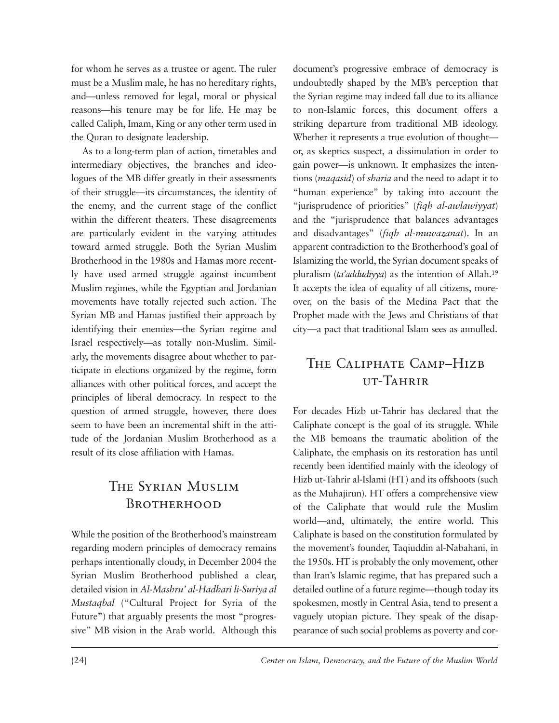for whom he serves as a trustee or agent. The ruler must be a Muslim male, he has no hereditary rights, and—unless removed for legal, moral or physical reasons—his tenure may be for life. He may be called Caliph, Imam, King or any other term used in the Quran to designate leadership.

As to a long-term plan of action, timetables and intermediary objectives, the branches and ideologues of the MB differ greatly in their assessments of their struggle—its circumstances, the identity of the enemy, and the current stage of the conflict within the different theaters. These disagreements are particularly evident in the varying attitudes toward armed struggle. Both the Syrian Muslim Brotherhood in the 1980s and Hamas more recently have used armed struggle against incumbent Muslim regimes, while the Egyptian and Jordanian movements have totally rejected such action. The Syrian MB and Hamas justified their approach by identifying their enemies—the Syrian regime and Israel respectively—as totally non-Muslim. Simil arly, the movements disagree about whether to participate in elections organized by the regime, form alliances with other political forces, and accept the principles of liberal democracy. In respect to the question of armed struggle, however, there does seem to have been an incremental shift in the attitude of the Jordanian Muslim Brotherhood as a result of its close affiliation with Hamas.

### The Syrian Muslim Brotherhood

While the position of the Brotherhood's mainstream regarding modern principles of democracy remains perhaps intentionally cloudy, in December 2004 the Syrian Muslim Brotherhood published a clear, detailed vision in *Al-Mashru' al-Hadhari li-Suriya al Mustaqbal* ("Cultural Project for Syria of the Future") that arguably presents the most "progressive" MB vision in the Arab world. Although this document's progressive embrace of democracy is undoubtedly shaped by the MB's perception that the Syrian regime may indeed fall due to its alliance to non-Islamic forces, this document offers a striking departure from traditional MB ideology. Whether it represents a true evolution of thoughtor, as skeptics suspect, a dissimulation in order to gain power—is unknown. It emphasizes the intentions (*maqasid*) of *sharia* and the need to adapt it to "human experience" by taking into account the "jurisprudence of priorities" (*fiqh al-awlawiyyat*) and the "jurisprudence that balances advantages and disadvantages" (*fiqh al-muwazanat*). In an apparent contradiction to the Brotherhood's goal of Islamizing the world, the Syrian document speaks of pluralism (*ta'addudiyya*) as the intention of Allah.19 It accepts the idea of equality of all citizens, moreover, on the basis of the Medina Pact that the Prophet made with the Jews and Christians of that city—a pact that traditional Islam sees as annulled.

### The Caliphate Camp–Hizb ut-Tahrir

For decades Hizb ut-Tahrir has declared that the Caliphate concept is the goal of its struggle. While the MB bemoans the traumatic abolition of the Caliphate, the emphasis on its restoration has until recently been identified mainly with the ideology of Hizb ut-Tahrir al-Islami (HT) and its offshoots (such as the Muhajirun). HT offers a comprehensive view of the Caliphate that would rule the Muslim world—and, ultimately, the entire world. This Caliphate is based on the constitution formulated by the movement's founder, Taqiuddin al-Nabahani, in the 1950s. HT is probably the only movement, other than Iran's Islamic regime, that has prepared such a detailed outline of a future regime—though today its spokesmen, mostly in Central Asia, tend to present a vaguely utopian picture. They speak of the disappearance of such social problems as poverty and cor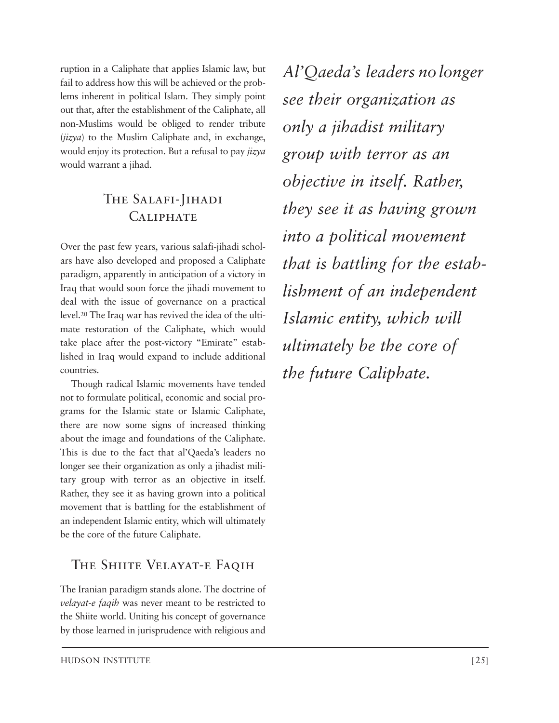ruption in a Caliphate that applies Islamic law, but fail to address how this will be achieved or the problems inherent in political Islam. They simply point out that, after the establishment of the Caliphate, all non-Muslims would be obliged to render tribute (*jizya*) to the Muslim Caliphate and, in exchange, would enjoy its protection. But a refusal to pay *jizya* would warrant a jihad.

### The Salafi-Jihadi **CALIPHATE**

Over the past few years, various salafi-jihadi scholars have also developed and proposed a Caliphate paradigm, apparently in anticipation of a victory in Iraq that would soon force the jihadi movement to deal with the issue of governance on a practical level.20 The Iraq war has revived the idea of the ultimate restoration of the Caliphate, which would take place after the post-victory "Emirate" established in Iraq would expand to include additional countries.

Though radical Islamic movements have tended not to formulate political, economic and social programs for the Islamic state or Islamic Caliphate, there are now some signs of increased thinking about the image and foundations of the Caliphate. This is due to the fact that al'Qaeda's leaders no longer see their organization as only a jihadist military group with terror as an objective in itself. Rather, they see it as having grown into a political movement that is battling for the establishment of an independent Islamic entity, which will ultimately be the core of the future Caliphate.

### THE SHIITE VELAYAT-E FAQIH

The Iranian paradigm stands alone. The doctrine of *velayat-e faqih* was never meant to be restricted to the Shiite world. Uniting his concept of governance by those learned in jurisprudence with religious and *Al'Qaeda's leaders nolonger see their organ ization as only a jihadist military group with terror as an objective in itself. Rather, they see it as having grown into a political movement that is battling for the estab lishment of an independent Islamic entity, which will ultimately be the core of the future Caliphate.*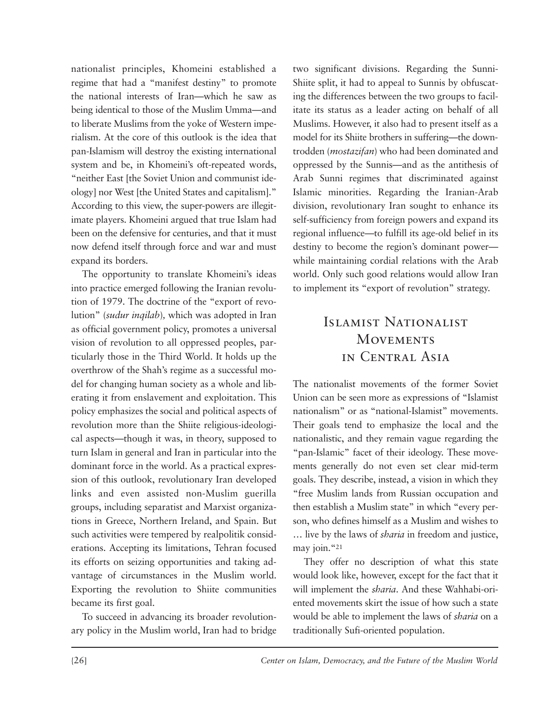nationalist principles, Khomeini established a regime that had a "manifest destiny" to promote the national interests of Iran—which he saw as being identical to those of the Muslim Umma—and to liberate Muslims from the yoke of Western imperialism. At the core of this outlook is the idea that pan-Islamism will destroy the existing international system and be, in Khomeini's oft-repeated words, "neither East [the Soviet Union and communist ideology] nor West [the United States and capitalism]." According to this view, the super-powers are illegitimate players. Khomeini argued that true Islam had been on the defensive for centuries, and that it must now defend itself through force and war and must expand its borders.

The opportunity to translate Khomeini's ideas into practice emerged following the Iranian revolution of 1979. The doctrine of the "export of revolution" (*sudur inqilab*)*,* which was adopted in Iran as official government policy, promotes a universal vision of revolution to all oppressed peoples, particularly those in the Third World. It holds up the overthrow of the Shah's regime as a successful model for changing human society as a whole and liberating it from enslavement and exploitation. This policy emphasizes the social and political aspects of revolution more than the Shiite religious-ideological aspects—though it was, in theory, supposed to turn Islam in general and Iran in particular into the dominant force in the world. As a practical expression of this outlook, revolutionary Iran developed links and even assisted non-Muslim guerilla groups, including separatist and Marxist organizations in Greece, Northern Ireland, and Spain. But such activities were tempered by realpolitik considerations. Accepting its limitations, Tehran focused its efforts on seizing opportunities and taking advantage of circumstances in the Muslim world. Exporting the revolution to Shiite communities became its first goal.

To succeed in advancing its broader revolutionary policy in the Muslim world, Iran had to bridge two significant divisions. Regarding the Sunni-Shiite split, it had to appeal to Sunnis by obfuscating the differences between the two groups to facilitate its status as a leader acting on behalf of all Muslims. However, it also had to present itself as a model for its Shiite brothers in suffering—the downtrodden (*mostazifan*) who had been dominated and op pressed by the Sunnis—and as the antithesis of Arab Sunni regimes that discriminated against Islamic minorities. Regarding the Iranian-Arab division, revolutionary Iran sought to enhance its self-sufficiency from foreign powers and expand its regional influence—to fulfill its age-old belief in its destiny to become the region's dominant power while maintaining cordial relations with the Arab world. Only such good relations would allow Iran to implement its "export of revolution" strategy.

### Islamist Nationalist **MOVEMENTS** in Central Asia

The nationalist movements of the former Soviet Union can be seen more as expressions of "Islamist nationalism" or as "national-Islamist" movements. Their goals tend to emphasize the local and the nationalistic, and they remain vague regarding the "pan-Islamic" facet of their ideology. These movements generally do not even set clear mid-term goals. They describe, instead, a vision in which they "free Muslim lands from Russian occupation and then establish a Muslim state" in which "every person, who defines himself as a Muslim and wishes to … live by the laws of *sharia* in freedom and justice, may join."21

They offer no description of what this state would look like, however, except for the fact that it will implement the *sharia*. And these Wahhabi-oriented movements skirt the issue of how such a state would be able to implement the laws of *sharia* on a traditionally Sufi-oriented population.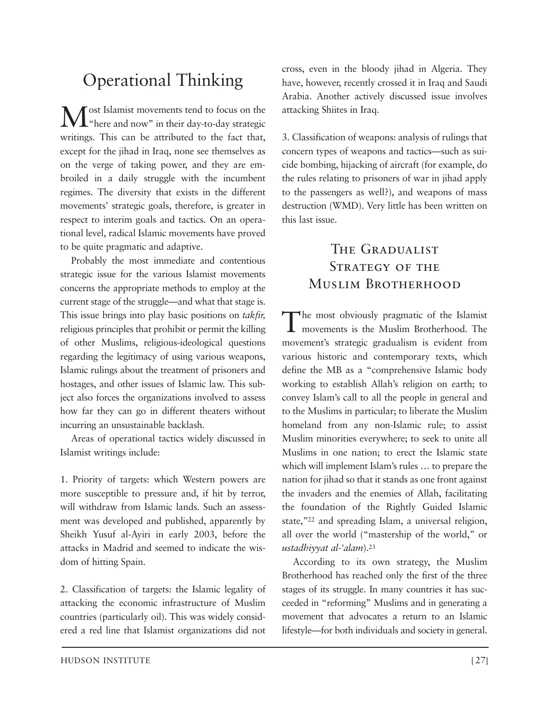### Operational Thinking

Most Islamist movements tend to focus on the "here and now" in their day-to-day strategic writings. This can be attributed to the fact that, except for the jihad in Iraq, none see themselves as on the verge of taking power, and they are embroiled in a daily struggle with the incumbent regimes. The diversity that exists in the different movements' strategic goals, therefore, is greater in respect to interim goals and tactics. On an operational level, radical Islamic movements have proved to be quite pragmatic and adaptive.

Probably the most immediate and contentious strategic issue for the various Islamist movements concerns the appropriate methods to employ at the current stage of the struggle—and what that stage is. This issue brings into play basic positions on *takfir,* religious principles that prohibit or permit the killing of other Muslims, religious-ideological questions regarding the legitimacy of using various weapons, Islamic rulings about the treatment of prisoners and hostages, and other issues of Islamic law. This subject also forces the organizations involved to assess how far they can go in different theaters without incurring an unsustainable backlash.

Areas of operational tactics widely discussed in Islamist writings include:

1. Priority of targets: which Western powers are more susceptible to pressure and, if hit by terror, will withdraw from Islamic lands. Such an assessment was developed and published, apparently by Sheikh Yusuf al-Ayiri in early 2003, before the attacks in Madrid and seemed to indicate the wisdom of hitting Spain.

2. Classification of targets: the Islamic legality of attacking the economic infrastructure of Muslim countries (particularly oil). This was widely considered a red line that Islamist organizations did not cross, even in the bloody jihad in Algeria. They have, however, recently crossed it in Iraq and Saudi Arabia. Another actively discussed issue involves attacking Shiites in Iraq.

3. Classification of weapons: analysis of rulings that concern types of weapons and tactics—such as suicide bombing, hijacking of aircraft (for example, do the rules relating to prisoners of war in jihad apply to the passengers as well?), and weapons of mass destruction (WMD). Very little has been written on this last issue.

### The Gradualist STRATEGY OF THE Muslim Brotherhood

The most obviously pragmatic of the Islamist movements is the Muslim Brotherhood. The movement's strategic gradualism is evident from various historic and contemporary texts, which define the MB as a "comprehensive Islamic body working to establish Allah's religion on earth; to convey Islam's call to all the people in general and to the Muslims in particular; to liberate the Muslim homeland from any non-Islamic rule; to assist Muslim minorities everywhere; to seek to unite all Muslims in one nation; to erect the Islamic state which will implement Islam's rules … to prepare the nation for jihad so that it stands as one front against the invaders and the enemies of Allah, facilitating the foundation of the Rightly Guided Islamic state,"22 and spreading Islam, a universal religion, all over the world ("mastership of the world," or *ustadhiyyat al-'alam*).23

According to its own strategy, the Muslim Brotherhood has reached only the first of the three stages of its struggle. In many countries it has succeeded in "reforming" Muslims and in generating a movement that advocates a return to an Islamic lifestyle—for both individuals and society in general.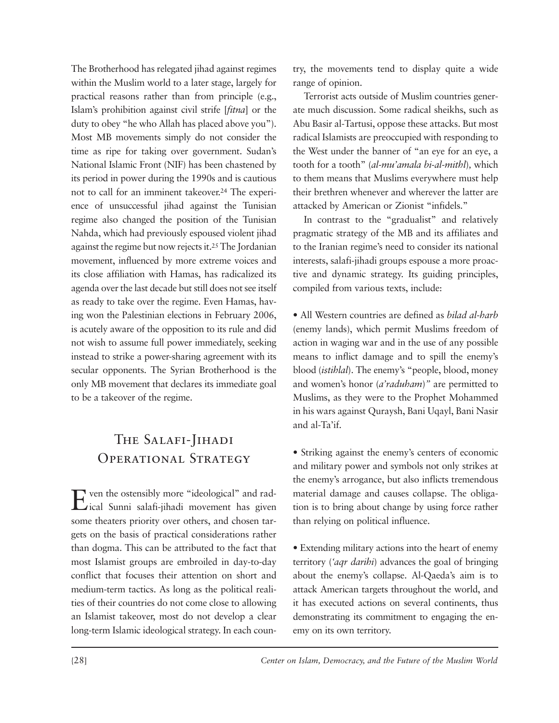The Brotherhood has relegated jihad against regimes within the Muslim world to a later stage, largely for practical reasons rather than from principle (e.g., Islam's prohibition against civil strife [*fitna*] or the duty to obey "he who Allah has placed above you"). Most MB movements simply do not consider the time as ripe for taking over government. Sudan's National Islamic Front (NIF) has been chastened by its period in power during the 1990s and is cautious not to call for an imminent takeover.24 The experience of unsuccessful jihad against the Tunisian regime also changed the position of the Tunisian Nahda, which had previously espoused violent jihad against the regime but now rejects it.25 The Jordanian movement, influenced by more extreme voices and its close affiliation with Hamas, has radicalized its agenda over the last decade but still does not see itself as ready to take over the regime. Even Hamas, having won the Palestinian elections in February 2006, is acutely aware of the opposition to its rule and did not wish to assume full power immediately, seeking instead to strike a power-sharing agreement with its secular opponents. The Syrian Brotherhood is the only MB movement that declares its immediate goal to be a takeover of the regime.

### The Salafi-Jihadi Operational Strategy

Even the ostensibly more "ideological" and rad-ical Sunni salafi-jihadi movement has given some theaters priority over others, and chosen targets on the basis of practical considerations rather than dogma. This can be attributed to the fact that most Islamist groups are embroiled in day-to-day conflict that focuses their attention on short and medium-term tactics. As long as the political realities of their countries do not come close to allowing an Islamist takeover, most do not develop a clear long-term Islamic ideological strategy. In each country, the movements tend to display quite a wide range of opinion.

Terrorist acts outside of Muslim countries generate much discussion. Some radical sheikhs, such as Abu Basir al-Tartusi, oppose these attacks. But most radical Islamists are preoccupied with responding to the West under the banner of "an eye for an eye, a tooth for a tooth" (*al-mu'amala bi-al-mithl*)*,* which to them means that Muslims everywhere must help their brethren whenever and wherever the latter are attacked by American or Zionist "infidels."

In contrast to the "gradualist" and relatively pragmatic strategy of the MB and its affiliates and to the Iranian regime's need to consider its national interests, salafi-jihadi groups espouse a more proactive and dynamic strategy. Its guiding principles, compiled from various texts, include:

• All Western countries are defined as *bilad al-harb* (enemy lands), which permit Muslims freedom of action in waging war and in the use of any possible means to inflict damage and to spill the enemy's blood (*istihlal*). The enemy's "people, blood, money and women's honor (*a'raduham*)*"* are permitted to Muslims, as they were to the Prophet Mohammed in his wars against Quraysh, Bani Uqayl, Bani Nasir and al-Ta'if.

• Striking against the enemy's centers of economic and military power and symbols not only strikes at the enemy's arrogance, but also inflicts tremendous material damage and causes collapse. The obligation is to bring about change by using force rather than relying on political influence.

• Extending military actions into the heart of enemy territory (*'aqr darihi*) advances the goal of bringing about the enemy's collapse. Al-Qaeda's aim is to attack American targets throughout the world, and it has executed actions on several continents, thus demonstrating its commitment to engaging the enemy on its own territory.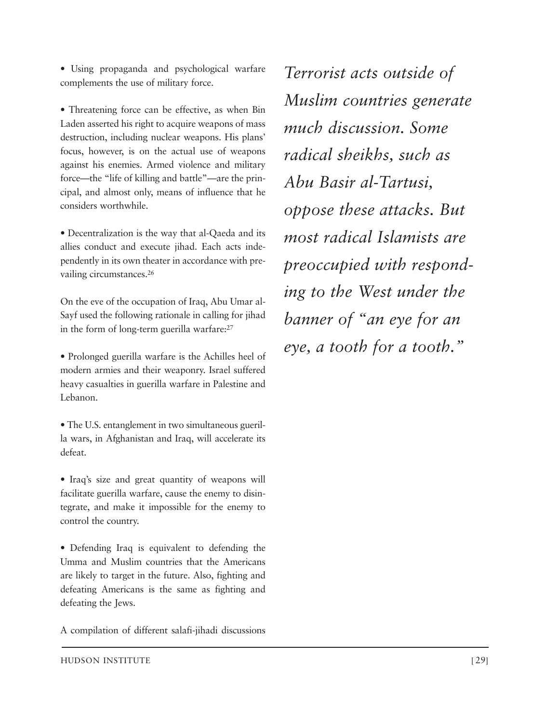• Using propaganda and psychological warfare complements the use of military force.

• Threatening force can be effective, as when Bin Laden asserted his right to acquire weapons of mass destruction, including nuclear weapons. His plans' focus, however, is on the actual use of weapons against his enemies. Armed violence and military force—the "life of killing and battle"—are the principal, and almost only, means of influence that he considers worthwhile.

• Decentralization is the way that al-Qaeda and its allies conduct and execute jihad. Each acts independently in its own theater in accordance with prevailing circumstances.26

On the eve of the occupation of Iraq, Abu Umar al-Sayf used the following rationale in calling for jihad in the form of long-term guerilla warfare:27

• Prolonged guerilla warfare is the Achilles heel of modern armies and their weaponry. Israel suffered heavy casualties in guerilla warfare in Palestine and Lebanon.

• The U.S. entanglement in two simultaneous guerilla wars, in Afghanistan and Iraq, will accelerate its defeat.

• Iraq's size and great quantity of weapons will facilitate guerilla warfare, cause the enemy to disintegrate, and make it impossible for the enemy to control the country.

• Defending Iraq is equivalent to defending the Umma and Muslim countries that the Americans are likely to target in the future. Also, fighting and defeating Americans is the same as fighting and defeating the Jews.

A compilation of different salafi-jihadi discussions

*Terrorist acts outside of Muslim countries generate much discussion. Some radical sheikhs, such as Abu Basir al-Tartusi, oppose these attacks. But most radical Islamists are preoccupied with responding to the West under the banner of "an eye for an eye, a tooth for a tooth."*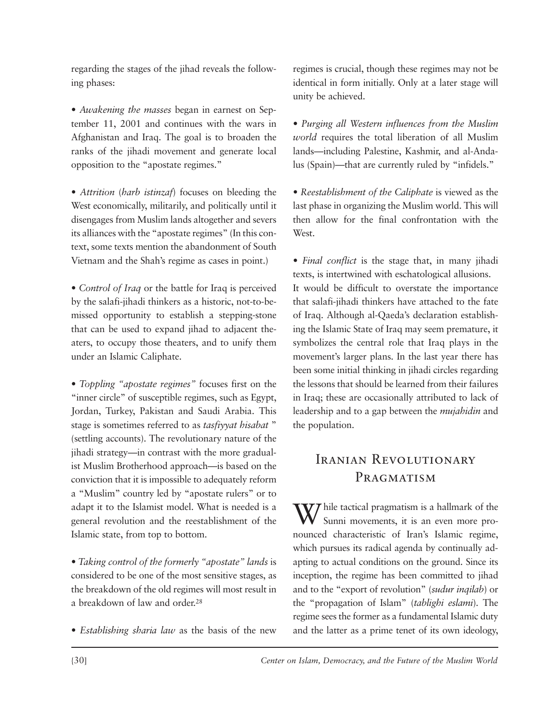regarding the stages of the jihad reveals the following phases:

• Awakening the masses began in earnest on September 11, 2001 and continues with the wars in Afghanistan and Iraq. The goal is to broaden the ranks of the jihadi movement and generate local opposition to the "apostate regimes."

• Attrition (*harb istinzaf*) focuses on bleeding the West economically, militarily, and politically until it disengages from Muslim lands altogether and severs its alliances with the "apostate regimes" (In this context, some texts mention the abandonment of South Vietnam and the Shah's regime as cases in point.)

*• Control of Iraq* or the battle for Iraq is perceived by the salafi-jihadi thinkers as a historic, not-to-bemissed opportunity to establish a stepping-stone that can be used to expand jihad to adjacent theaters, to occupy those theaters, and to unify them under an Islamic Caliphate.

*• Toppling "apostate regimes"* focuses first on the "inner circle" of susceptible regimes, such as Egypt, Jordan, Turkey, Pakistan and Saudi Arabia. This stage is sometimes referred to as *tasfiyyat hisabat* " (settling accounts). The revolutionary nature of the jihadi strategy—in contrast with the more gradualist Muslim Brotherhood approach—is based on the conviction that it is impossible to adequately reform a "Muslim" country led by "apostate rulers" or to adapt it to the Islamist model. What is needed is a general revolution and the reestablishment of the Islamic state, from top to bottom.

*• Taking control of the formerly "apostate" lands* is considered to be one of the most sensitive stages, as the breakdown of the old regimes will most result in a breakdown of law and order.28

*• Establishing sharia law* as the basis of the new

regimes is crucial, though these regimes may not be identical in form initially. Only at a later stage will unity be achieved.

*• Purging all Western influences from the Muslim world* requires the total liberation of all Muslim lands—including Palestine, Kashmir, and al-Andalus (Spain)—that are currently ruled by "infidels."

*• Reestablishment of the Caliphate* is viewed as the last phase in organizing the Muslim world. This will then allow for the final confrontation with the West.

*• Final conflict* is the stage that, in many jihadi texts, is intertwined with eschatological allusions. It would be difficult to overstate the importance that salafi-jihadi thinkers have attached to the fate of Iraq. Although al-Qaeda's declaration establishing the Islamic State of Iraq may seem premature, it symbolizes the central role that Iraq plays in the movement's larger plans. In the last year there has been some initial thinking in jihadi circles regarding the lessons that should be learned from their failures in Iraq; these are occasionally attributed to lack of leadership and to a gap between the *mujahidin* and the population.

### Iranian Revolutionary PRAGMATISM

W/ hile tactical pragmatism is a hallmark of the Sunni movements, it is an even more pronounced characteristic of Iran's Islamic regime, which pursues its radical agenda by continually adapting to actual conditions on the ground. Since its inception, the regime has been committed to jihad and to the "export of revolution" (*sudur inqilab*) or the "propagation of Islam" (*tablighi eslami*). The regime sees the former as a fundamental Islamic duty and the latter as a prime tenet of its own ideology,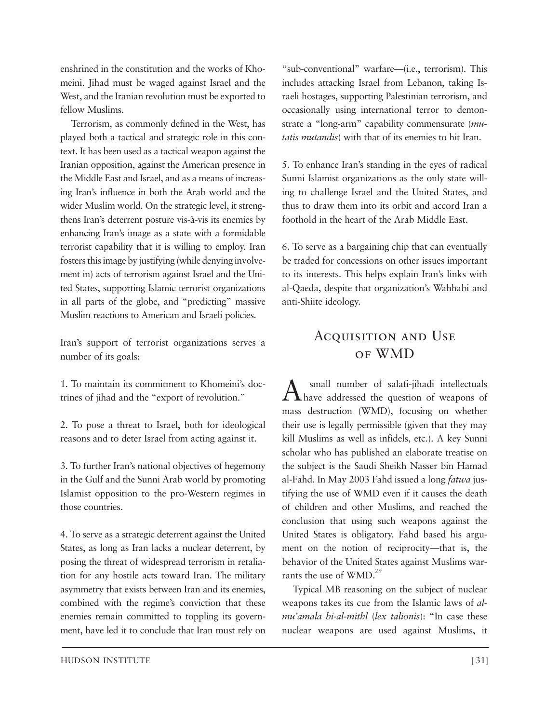enshrined in the constitution and the works of Khomeini. Jihad must be waged against Israel and the West, and the Iranian revolution must be exported to fellow Muslims.

Terrorism, as commonly defined in the West, has played both a tactical and strategic role in this context. It has been used as a tactical weapon against the Iranian opposition, against the American presence in the Middle East and Israel, and as a means of increasing Iran's influence in both the Arab world and the wider Muslim world. On the strategic level, it strengthens Iran's deterrent posture vis-à-vis its enemies by enhancing Iran's image as a state with a formidable terrorist capability that it is willing to employ. Iran fosters this image by justifying (while denying involvement in) acts of terrorism against Israel and the United States, supporting Islamic terrorist organizations in all parts of the globe, and "predicting" massive Muslim reactions to American and Israeli policies.

Iran's support of terrorist organizations serves a number of its goals:

1. To maintain its commitment to Khomeini's doctrines of jihad and the "export of revolution."

2. To pose a threat to Israel, both for ideological reasons and to deter Israel from acting against it.

3. To further Iran's national objectives of hegemony in the Gulf and the Sunni Arab world by promoting Islamist opposition to the pro-Western regimes in those countries.

4. To serve as a strategic deterrent against the United States, as long as Iran lacks a nuclear deterrent, by posing the threat of widespread terrorism in retaliation for any hostile acts toward Iran. The military asymmetry that exists between Iran and its enemies, combined with the regime's conviction that these enemies remain committed to toppling its government, have led it to conclude that Iran must rely on

"sub-conventional" warfare—(i.e., terrorism). This includes attacking Israel from Lebanon, taking Israeli hostages, supporting Palestinian terrorism, and occasionally using international terror to demonstrate a "long-arm" capability commensurate (*mu tatis mutandis*) with that of its enemies to hit Iran.

5. To enhance Iran's standing in the eyes of radical Sunni Islamist organizations as the only state willing to challenge Israel and the United States, and thus to draw them into its orbit and accord Iran a foothold in the heart of the Arab Middle East.

6. To serve as a bargaining chip that can eventually be traded for concessions on other issues important to its interests. This helps explain Iran's links with al-Qaeda, despite that organization's Wahhabi and anti-Shiite ideology.

### ACQUISITION AND USE of WMD

A small number of salafi-jihadi intellectuals have addressed the question of weapons of mass destruction (WMD), focusing on whether their use is legally permissible (given that they may kill Muslims as well as infidels, etc.). A key Sunni scholar who has published an elaborate treatise on the subject is the Saudi Sheikh Nasser bin Hamad al-Fahd. In May 2003 Fahd issued a long *fatwa* justifying the use of WMD even if it causes the death of children and other Muslims, and reached the conclusion that using such weapons against the United States is obligatory. Fahd based his argument on the notion of reciprocity—that is, the behavior of the United States against Muslims warrants the use of WMD.<sup>29</sup>

Typical MB reasoning on the subject of nuclear weapons takes its cue from the Islamic laws of *almu'amala bi-al-mithl* (*lex talionis*): "In case these nuclear weapons are used against Muslims, it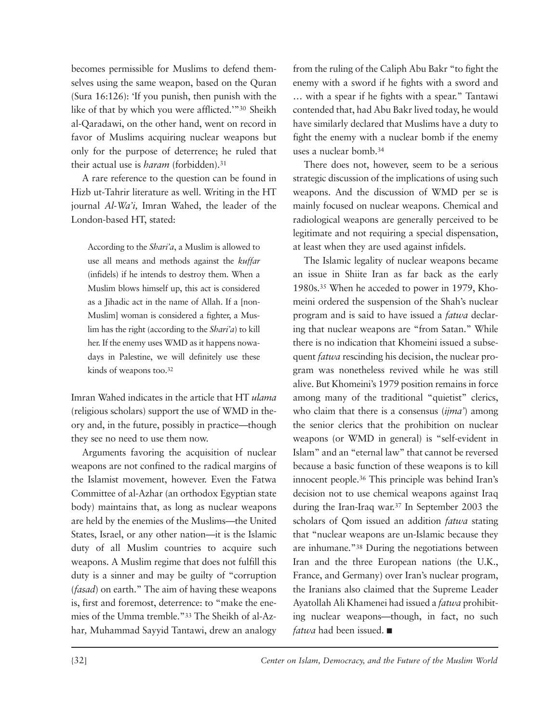becomes permissible for Muslims to defend themselves using the same weapon, based on the Quran (Sura 16:126): 'If you punish, then punish with the like of that by which you were afflicted.'"30 Sheikh al-Qaradawi, on the other hand, went on record in favor of Muslims acquiring nuclear weapons but only for the purpose of deterrence; he ruled that their actual use is *haram* (forbidden).31

A rare reference to the question can be found in Hizb ut-Tahrir literature as well. Writing in the HT journal *Al-Wa'i,* Imran Wahed, the leader of the London-based HT, stated:

According to the *Shari'a*, a Muslim is allowed to use all means and methods against the *kuffar* (infidels) if he intends to destroy them. When a Muslim blows himself up, this act is considered as a Jihadic act in the name of Allah. If a [non-Muslim] woman is considered a fighter, a Muslim has the right (according to the *Shari'a*) to kill her. If the enemy uses WMD as it happens nowadays in Palestine, we will definitely use these kinds of weapons too.32

Imran Wahed indicates in the article that HT *ulama* (religious scholars) support the use of WMD in theory and, in the future, possibly in practice—though they see no need to use them now.

Arguments favoring the acquisition of nuclear weapons are not confined to the radical margins of the Islamist movement, however. Even the Fatwa Committee of al-Azhar (an orthodox Egyptian state body) maintains that, as long as nuclear weapons are held by the enemies of the Muslims—the United States, Israel, or any other nation—it is the Islamic duty of all Muslim countries to acquire such weapons. A Muslim regime that does not fulfill this duty is a sinner and may be guilty of "corruption (*fasad*) on earth." The aim of having these weapons is, first and foremost, deterrence: to "make the enemies of the Umma tremble."<sup>33</sup> The Sheikh of al-Azhar*,* Muhammad Sayyid Tantawi, drew an analogy

from the ruling of the Caliph Abu Bakr "to fight the enemy with a sword if he fights with a sword and … with a spear if he fights with a spear." Tantawi contended that, had Abu Bakr lived today, he would have similarly declared that Muslims have a duty to fight the enemy with a nuclear bomb if the enemy uses a nuclear bomb.34

There does not, however, seem to be a serious strategic discussion of the implications of using such weapons. And the discussion of WMD per se is mainly focused on nuclear weapons. Chemical and radiological weapons are generally perceived to be legitimate and not requiring a special dispensation, at least when they are used against infidels.

The Islamic legality of nuclear weapons became an issue in Shiite Iran as far back as the early 1980s.<sup>35</sup> When he acceded to power in 1979, Khomeini ordered the suspension of the Shah's nuclear program and is said to have issued a *fatwa* declaring that nuclear weapons are "from Satan." While there is no indication that Khomeini issued a subsequent *fatwa* rescinding his decision, the nuclear program was nonetheless revived while he was still alive. But Khomeini's 1979 position remains in force among many of the traditional "quietist" clerics, who claim that there is a consensus (*ijma'*) among the senior clerics that the prohibition on nuclear weapons (or WMD in general) is "self-evident in Islam" and an "eternal law" that cannot be reversed because a basic function of these weapons is to kill innocent people.36 This principle was behind Iran's decision not to use chemical weapons against Iraq during the Iran-Iraq war.37 In September 2003 the scholars of Qom issued an addition *fatwa* stating that "nuclear weapons are un-Islamic because they are inhumane."38 During the negotiations between Iran and the three European nations (the U.K., France, and Germany) over Iran's nuclear program, the Iranians also claimed that the Supreme Leader Ayatollah Ali Khamenei had issued a *fatwa* prohibiting nuclear weapons—though, in fact, no such *fatwa* had been issued. ■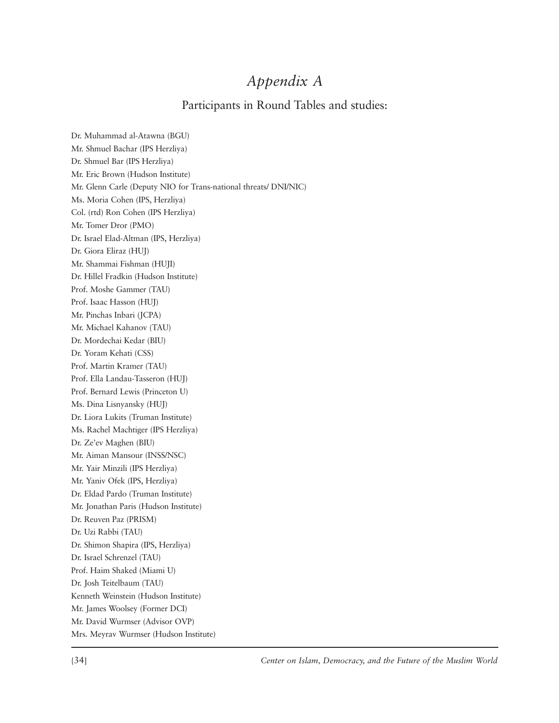### *Appendix A*

#### Participants in Round Tables and studies:

Dr. Muhammad al-Atawna (BGU) Mr. Shmuel Bachar (IPS Herzliya) Dr. Shmuel Bar (IPS Herzliya) Mr. Eric Brown (Hudson Institute) Mr. Glenn Carle (Deputy NIO for Trans-national threats/ DNI/NIC) Ms. Moria Cohen (IPS, Herzliya) Col. (rtd) Ron Cohen (IPS Herzliya) Mr. Tomer Dror (PMO) Dr. Israel Elad-Altman (IPS, Herzliya) Dr. Giora Eliraz (HUJ) Mr. Shammai Fishman (HUJI) Dr. Hillel Fradkin (Hudson Institute) Prof. Moshe Gammer (TAU) Prof. Isaac Hasson (HUJ) Mr. Pinchas Inbari (JCPA) Mr. Michael Kahanov (TAU) Dr. Mordechai Kedar (BIU) Dr. Yoram Kehati (CSS) Prof. Martin Kramer (TAU) Prof. Ella Landau-Tasseron (HUJ) Prof. Bernard Lewis (Princeton U) Ms. Dina Lisnyansky (HUJ) Dr. Liora Lukits (Truman Institute) Ms. Rachel Machtiger (IPS Herzliya) Dr. Ze'ev Maghen (BIU) Mr. Aiman Mansour (INSS/NSC) Mr. Yair Minzili (IPS Herzliya) Mr. Yaniv Ofek (IPS, Herzliya) Dr. Eldad Pardo (Truman Institute) Mr. Jonathan Paris (Hudson Institute) Dr. Reuven Paz (PRISM) Dr. Uzi Rabbi (TAU) Dr. Shimon Shapira (IPS, Herzliya) Dr. Israel Schrenzel (TAU) Prof. Haim Shaked (Miami U) Dr. Josh Teitelbaum (TAU) Kenneth Weinstein (Hudson Institute) Mr. James Woolsey (Former DCI) Mr. David Wurmser (Advisor OVP) Mrs. Meyrav Wurmser (Hudson Institute)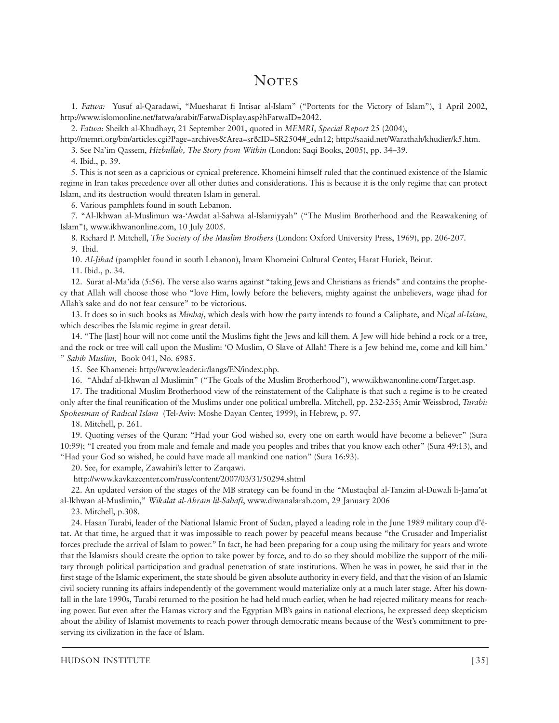### **NOTES**

1. *Fatwa:* Yusuf al-Qaradawi, "Muesharat fi Intisar al-Islam" ("Portents for the Victory of Islam"), 1 April 2002, http://www.islomonline.net/fatwa/arabit/FatwaDisplay.asp?hFatwaID=2042.

2. *Fatwa:* Sheikh al-Khudhayr, 21 September 2001, quoted in *MEMRI, Special Report* 25 (2004),

http://memri.org/bin/articles.cgi?Page=archives&Area=sr&ID=SR2504#\_edn12; http://saaid.net/Warathah/khudier/k5.htm.

3. See Na'im Qassem, *Hizbullah, The Story from Within* (London: Saqi Books, 2005), pp. 34–39.

4. Ibid., p. 39.

5. This is not seen as a capricious or cynical preference. Khomeini himself ruled that the continued existence of the Islamic regime in Iran takes precedence over all other duties and considerations. This is because it is the only regime that can protect Islam, and its destruction would threaten Islam in general.

6. Various pamphlets found in south Lebanon.

7. "Al-Ikhwan al-Muslimun wa-'Awdat al-Sahwa al-Islamiyyah" ("The Muslim Brotherhood and the Reawakening of Islam"), www.ikhwanonline.com, 10 July 2005.

8. Richard P. Mitchell, *The Society of the Muslim Brothers* (London: Oxford University Press, 1969), pp. 206-207. 9. Ibid.

10. *Al-Jihad* (pamphlet found in south Lebanon), Imam Khomeini Cultural Center, Harat Huriek, Beirut.

11. Ibid., p. 34.

12. Surat al-Ma'ida (5:56). The verse also warns against "taking Jews and Christians as friends" and contains the prophecy that Allah will choose those who "love Him, lowly before the believers, mighty against the unbelievers, wage jihad for Allah's sake and do not fear censure" to be victorious.

13. It does so in such books as *Minhaj*, which deals with how the party intends to found a Caliphate, and *Nizal al-Islam,* which describes the Islamic regime in great detail.

14. "The [last] hour will not come until the Muslims fight the Jews and kill them. A Jew will hide behind a rock or a tree, and the rock or tree will call upon the Muslim: 'O Muslim, O Slave of Allah! There is a Jew behind me, come and kill him.' " *Sahih Muslim,* Book 041, No. 6985.

15. See Khamenei: http://www.leader.ir/langs/EN/index.php.

16. "Ahdaf al-Ikhwan al Muslimin" ("The Goals of the Muslim Brotherhood"), www.ikhwanonline.com/Target.asp.

17. The traditional Muslim Brotherhood view of the reinstatement of the Caliphate is that such a regime is to be created only after the final reunification of the Muslims under one political umbrella. Mitchell, pp. 232-235; Amir Weissbrod, *Turabi: Spokesman of Radical Islam* (Tel-Aviv: Moshe Dayan Center, 1999), in Hebrew, p. 97.

18. Mitchell, p. 261.

19. Quoting verses of the Quran: "Had your God wished so, every one on earth would have become a believer" (Sura 10:99); "I created you from male and female and made you peoples and tribes that you know each other" (Sura 49:13), and "Had your God so wished, he could have made all mankind one nation" (Sura 16:93).

20. See, for example, Zawahiri's letter to Zarqawi.

http://www.kavkazcenter.com/russ/content/2007/03/31/50294.shtml

22. An updated version of the stages of the MB strategy can be found in the "Mustaqbal al-Tanzim al-Duwali li-Jama'at al-Ikhwan al-Muslimin," *Wikalat al-Ahram lil-Sahafi*, www.diwanalarab.com, 29 January 2006

23. Mitchell, p.308.

24. Hasan Turabi, leader of the National Islamic Front of Sudan, played a leading role in the June 1989 military coup d'état. At that time, he argued that it was impossible to reach power by peaceful means because "the Crusader and Imperialist forces preclude the arrival of Islam to power." In fact, he had been preparing for a coup using the military for years and wrote that the Islamists should create the option to take power by force, and to do so they should mobilize the support of the military through political participation and gradual penetration of state institutions. When he was in power, he said that in the first stage of the Islamic experiment, the state should be given absolute authority in every field, and that the vision of an Islamic civil society running its affairs independently of the government would materialize only at a much later stage. After his downfall in the late 1990s, Turabi returned to the position he had held much earlier, when he had rejected military means for reaching power. But even after the Hamas victory and the Egyptian MB's gains in national elections, he expressed deep skepticism about the ability of Islamist movements to reach power through democratic means because of the West's commitment to preserving its civilization in the face of Islam.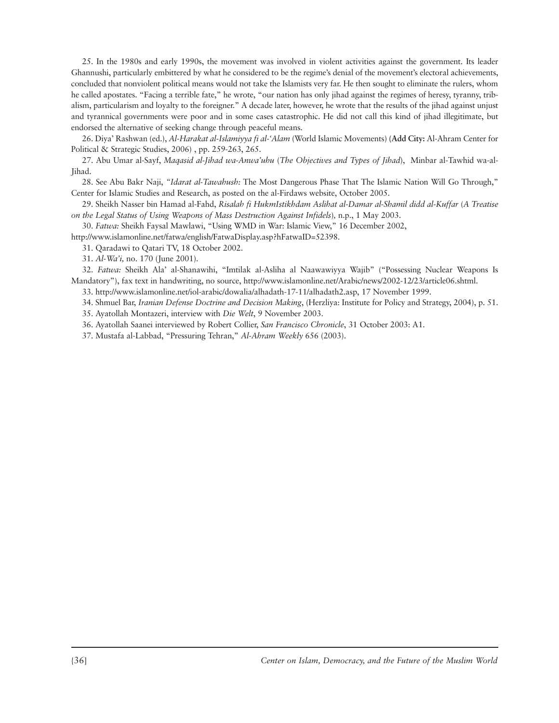25. In the 1980s and early 1990s, the movement was involved in violent activities against the government. Its leader Ghannushi, particularly embittered by what he considered to be the regime's denial of the movement's electoral achievements, concluded that nonviolent political means would not take the Islamists very far. He then sought to eliminate the rulers, whom he called apostates. "Facing a terrible fate," he wrote, "our nation has only jihad against the regimes of heresy, tyranny, tribalism, particularism and loyalty to the foreigner." A decade later, however, he wrote that the results of the jihad against unjust and tyrannical governments were poor and in some cases catastrophic. He did not call this kind of jihad illegitimate, but endorsed the alternative of seeking change through peaceful means.

26. Diya' Rashwan (ed.), *Al-Harakat al-Islamiyya fi al-'Alam* (World Islamic Movements) **(Add City:** Al-Ahram Center for Political & Strategic Studies, 2006) , pp. 259-263, 265.

27. Abu Umar al-Sayf, *Maqasid al-Jihad wa-Anwa'uhu* (*The Objectives and Types of Jihad*), Minbar al-Tawhid wa-al-Jihad.

28. See Abu Bakr Naji, *"Idarat al-Tawahush:* The Most Dangerous Phase That The Islamic Nation Will Go Through," Center for Islamic Studies and Research, as posted on the al-Firdaws website, October 2005.

29. Sheikh Nasser bin Hamad al-Fahd, *Risalah fi HukmIstikhdam Aslihat al-Damar al-Shamil didd al-Kuffar* (*A Treatise on the Legal Status of Using Weapons of Mass Destruction Against Infidels*)*,* n.p., 1 May 2003.

30. *Fatwa:* Sheikh Faysal Mawlawi, "Using WMD in War: Islamic View," 16 December 2002,

http://www.islamonline.net/fatwa/english/FatwaDisplay.asp?hFatwaID=52398.

31. Qaradawi to Qatari TV, 18 October 2002.

31. *Al-Wa'i,* no. 170 (June 2001).

32. *Fatwa:* Sheikh Ala' al-Shanawihi, "Imtilak al-Asliha al Naawawiyya Wajib" ("Possessing Nuclear Weapons Is Mandatory"), fax text in handwriting, no source, http://www.islamonline.net/Arabic/news/2002-12/23/article06.shtml.

33. http://www.islamonline.net/iol-arabic/dowalia/alhadath-17-11/alhadath2.asp, 17 November 1999.

34. Shmuel Bar, *Iranian Defense Doctrine and Decision Making*, (Herzliya: Institute for Policy and Strategy, 2004), p. 51.

35. Ayatollah Montazeri, interview with *Die Welt*, 9 November 2003.

36. Ayatollah Saanei interviewed by Robert Collier, *San Francisco Chronicle*, 31 October 2003: A1.

37. Mustafa al-Labbad, "Pressuring Tehran," *Al-Ahram Weekly* 656 (2003).